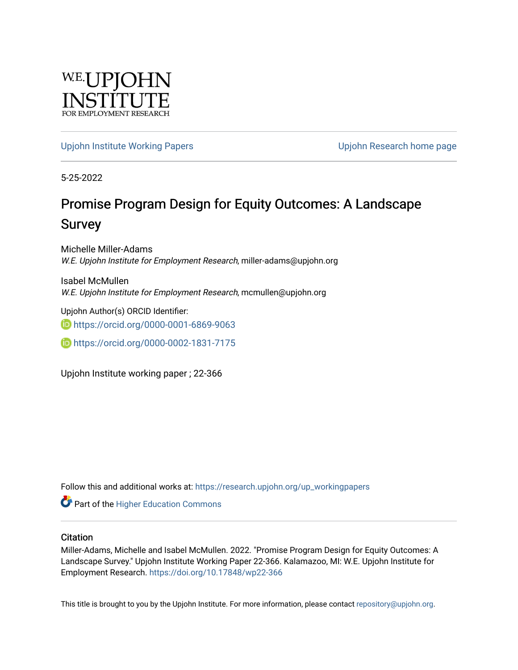

[Upjohn Institute Working Papers](https://research.upjohn.org/up_workingpapers) [Upjohn Research home page](https://research.upjohn.org/) 

5-25-2022

# Promise Program Design for Equity Outcomes: A Landscape Survey

Michelle Miller-Adams W.E. Upjohn Institute for Employment Research, miller-adams@upjohn.org

Isabel McMullen W.E. Upjohn Institute for Employment Research, mcmullen@upjohn.org

Upjohn Author(s) ORCID Identifier: **b** https://orcid.org/0000-0001-6869-9063

<https://orcid.org/0000-0002-1831-7175>

Upjohn Institute working paper ; 22-366

Follow this and additional works at: [https://research.upjohn.org/up\\_workingpapers](https://research.upjohn.org/up_workingpapers?utm_source=research.upjohn.org%2Fup_workingpapers%2F366&utm_medium=PDF&utm_campaign=PDFCoverPages)

**Part of the Higher Education Commons** 

### **Citation**

Miller-Adams, Michelle and Isabel McMullen. 2022. "Promise Program Design for Equity Outcomes: A Landscape Survey." Upjohn Institute Working Paper 22-366. Kalamazoo, MI: W.E. Upjohn Institute for Employment Research. <https://doi.org/10.17848/wp22-366>

This title is brought to you by the Upjohn Institute. For more information, please contact [repository@upjohn.org](mailto:repository@upjohn.org).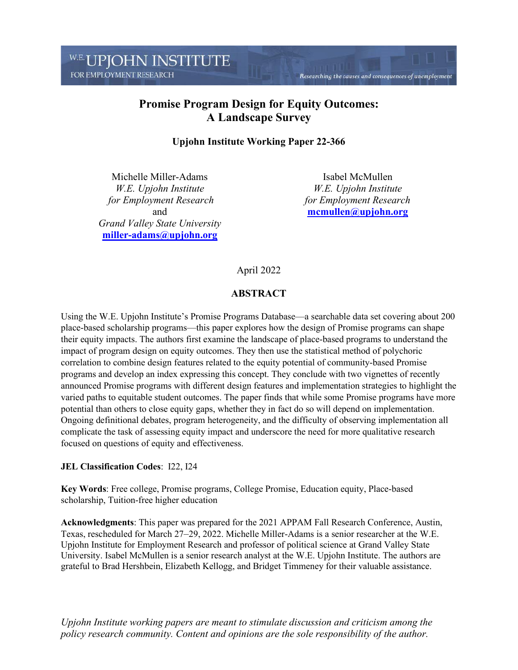# **Promise Program Design for Equity Outcomes: A Landscape Survey**

# **Upjohn Institute Working Paper 22-366**

Michelle Miller-Adams *W.E. Upjohn Institute for Employment Research* and *Grand Valley State University* **[miller-adams@upjohn.org](mailto:sebastian.ottinger.1@anderson.ucla.edu)**

Isabel McMullen *W.E. Upjohn Institute for Employment Research* **[mcmullen@upjohn.org](mailto:mcmullen@upjohn.org)**

Researching the causes and consequences of unemployment

# April 2022

# **ABSTRACT**

Using the W.E. Upjohn Institute's Promise Programs Database—a searchable data set covering about 200 place-based scholarship programs—this paper explores how the design of Promise programs can shape their equity impacts. The authors first examine the landscape of place-based programs to understand the impact of program design on equity outcomes. They then use the statistical method of polychoric correlation to combine design features related to the equity potential of community-based Promise programs and develop an index expressing this concept. They conclude with two vignettes of recently announced Promise programs with different design features and implementation strategies to highlight the varied paths to equitable student outcomes. The paper finds that while some Promise programs have more potential than others to close equity gaps, whether they in fact do so will depend on implementation. Ongoing definitional debates, program heterogeneity, and the difficulty of observing implementation all complicate the task of assessing equity impact and underscore the need for more qualitative research focused on questions of equity and effectiveness.

### **JEL Classification Codes**: I22, I24

**Key Words**: Free college, Promise programs, College Promise, Education equity, Place-based scholarship, Tuition-free higher education

**Acknowledgments**: This paper was prepared for the 2021 APPAM Fall Research Conference, Austin, Texas, rescheduled for March 27–29, 2022. Michelle Miller-Adams is a senior researcher at the W.E. Upjohn Institute for Employment Research and professor of political science at Grand Valley State University. Isabel McMullen is a senior research analyst at the W.E. Upjohn Institute. The authors are grateful to Brad Hershbein, Elizabeth Kellogg, and Bridget Timmeney for their valuable assistance.

*Upjohn Institute working papers are meant to stimulate discussion and criticism among the policy research community. Content and opinions are the sole responsibility of the author.*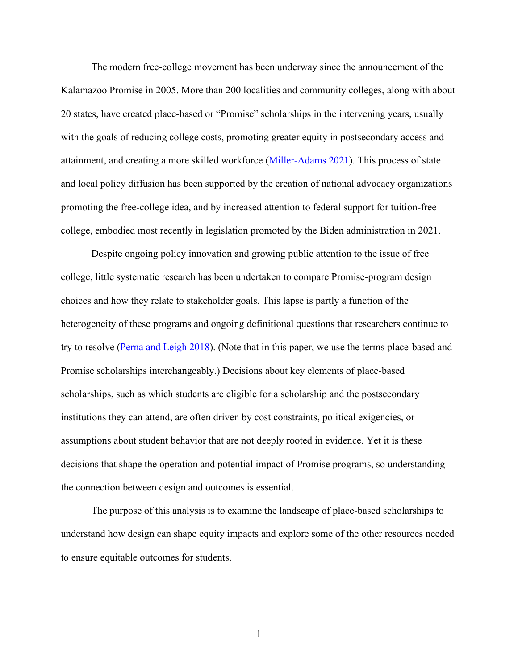The modern free-college movement has been underway since the announcement of the Kalamazoo Promise in 2005. More than 200 localities and community colleges, along with about 20 states, have created place-based or "Promise" scholarships in the intervening years, usually with the goals of reducing college costs, promoting greater equity in postsecondary access and attainment, and creating a more skilled workforce [\(Miller-Adams 2021\)](https://www.hepg.org/hep-home/books/the-path-to-free-college). This process of state and local policy diffusion has been supported by the creation of national advocacy organizations promoting the free-college idea, and by increased attention to federal support for tuition-free college, embodied most recently in legislation promoted by the Biden administration in 2021.

Despite ongoing policy innovation and growing public attention to the issue of free college, little systematic research has been undertaken to compare Promise-program design choices and how they relate to stakeholder goals. This lapse is partly a function of the heterogeneity of these programs and ongoing definitional questions that researchers continue to try to resolve (Perna and [Leigh 2018\)](https://journals.sagepub.com/doi/10.3102/0013189X17742653). (Note that in this paper, we use the terms place-based and Promise scholarships interchangeably.) Decisions about key elements of place-based scholarships, such as which students are eligible for a scholarship and the postsecondary institutions they can attend, are often driven by cost constraints, political exigencies, or assumptions about student behavior that are not deeply rooted in evidence. Yet it is these decisions that shape the operation and potential impact of Promise programs, so understanding the connection between design and outcomes is essential.

The purpose of this analysis is to examine the landscape of place-based scholarships to understand how design can shape equity impacts and explore some of the other resources needed to ensure equitable outcomes for students.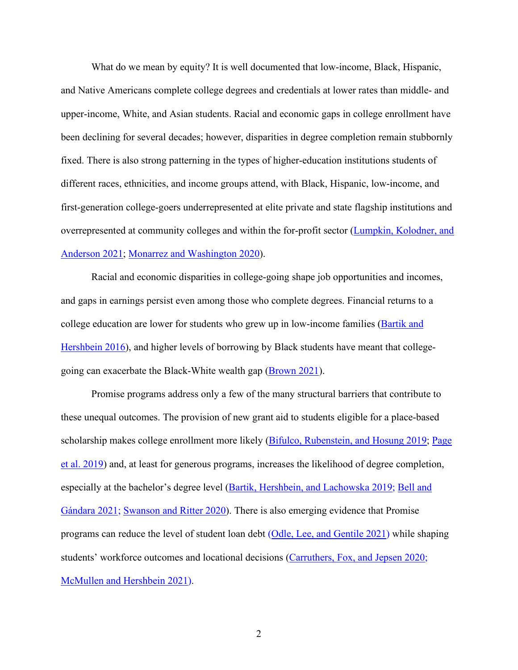What do we mean by equity? It is well documented that low-income, Black, Hispanic, and Native Americans complete college degrees and credentials at lower rates than middle- and upper-income, White, and Asian students. Racial and economic gaps in college enrollment have been declining for several decades; however, disparities in degree completion remain stubbornly fixed. There is also strong patterning in the types of higher-education institutions students of different races, ethnicities, and income groups attend, with Black, Hispanic, low-income, and first-generation college-goers underrepresented at elite private and state flagship institutions and overrepresented at community colleges and within the for-profit sector [\(Lumpkin, Kolodner, and](https://hechingerreport.org/flagship-universities-fail-to-enroll-black-and-latino-high-school-graduates-from-their-state/)  [Anderson 2021;](https://hechingerreport.org/flagship-universities-fail-to-enroll-black-and-latino-high-school-graduates-from-their-state/) [Monarrez and Washington 2020\)](https://www.urban.org/research/publication/racial-and-ethnic-representation-postsecondary-education).

Racial and economic disparities in college-going shape job opportunities and incomes, and gaps in earnings persist even among those who complete degrees. Financial returns to a college education are lower for students who grew up in low-income families [\(Bartik and](https://research.upjohn.org/empl_research/vol23/iss3/1/) [Hershbein 2016\)](https://research.upjohn.org/empl_research/vol23/iss3/1/), and higher levels of borrowing by Black students have meant that collegegoing can exacerbate the Black-White wealth gap [\(Brown 2021\)](https://www.washingtonpost.com/outlook/2021/04/09/student-loans-black-wealth-gap/).

Promise programs address only a few of the many structural barriers that contribute to these unequal outcomes. The provision of new grant aid to students eligible for a place-based scholarship makes college enrollment more likely [\(Bifulco, Rubenstein, and Hosung 2019;](https://onlinelibrary.wiley.com/doi/full/10.1002/pam.22139) [Page](https://direct.mit.edu/edfp/article-abstract/14/4/572/12330/The-Promise-of-Place-Based-Investment-in?redirectedFrom=fulltext)  [et al. 2019\)](https://direct.mit.edu/edfp/article-abstract/14/4/572/12330/The-Promise-of-Place-Based-Investment-in?redirectedFrom=fulltext) and, at least for generous programs, increases the likelihood of degree completion, especially at the bachelor's degree level [\(Bartik, Hershbein, and Lachowska 2019;](http://jhr.uwpress.org/content/56/1/269) [Bell and](https://journals.sagepub.com/doi/abs/10.3102/00028312211003501) [Gándara 2021;](https://journals.sagepub.com/doi/abs/10.3102/00028312211003501) [Swanson and Ritter 2020\)](https://ir.library.louisville.edu/cgi/viewcontent.cgi?article=1703&context=jsfa). There is also emerging evidence that Promise programs can reduce the level of student loan debt [\(Odle, Lee, and Gentile 2021\)](https://www.tandfonline.com/doi/abs/10.1080/00221546.2021.1888674) while shaping students' workforce outcomes and locational decisions [\(Carruthers, Fox, and Jepsen 2020;](https://www.atlantafed.org/-/media/documents/news/conferences/2020/04/16/southeastern-micro-labor-workshop/Carruthers_Fox_Jepsen.pdf) [McMullen and Hershbein 2021\)](https://research.upjohn.org/cgi/viewcontent.cgi?article=1036&context=up_policybriefs).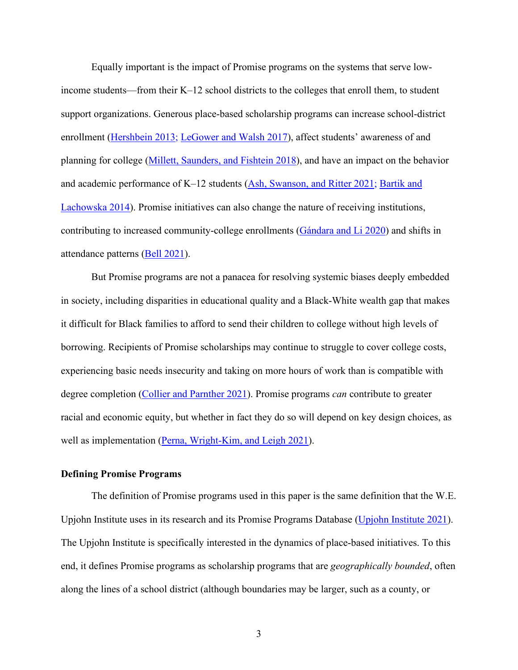Equally important is the impact of Promise programs on the systems that serve lowincome students—from their K–12 school districts to the colleges that enroll them, to student support organizations. Generous place-based scholarship programs can increase school-district enrollment [\(Hershbein 2013;](https://research.upjohn.org/up_workingpapers/200/) [LeGower and Walsh 2017\)](https://www.sciencedirect.com/science/article/pii/S0094119017300530?via%3Dihub), affect students' awareness of and planning for college [\(Millett, Saunders, and Fishtein 2018\)](https://files.eric.ed.gov/fulltext/EJ1202820.pdf), and have an impact on the behavior and academic performance of K–12 students [\(Ash, Swanson, and Ritter 2021;](https://journals.sagepub.com/doi/10.3102/0162373720970512) [Bartik and](https://www.emerald.com/insight/content/doi/10.1108/S0147-9121(2013)0000038002/full/html) [Lachowska 2014\)](https://www.emerald.com/insight/content/doi/10.1108/S0147-9121(2013)0000038002/full/html). Promise initiatives can also change the nature of receiving institutions, contributing to increased community-college enrollments [\(Gándara and Li 2020\)](https://www.aera.net/Newsroom/Promise-for-Whom-Free-College-Programs-and-Enrollments-by-Race-and-Gender-Classifications-at-Public-2-Year-Colleges) and shifts in attendance patterns [\(Bell 2021\)](https://ir.library.louisville.edu/jsfa/vol50/iss1/4/).

But Promise programs are not a panacea for resolving systemic biases deeply embedded in society, including disparities in educational quality and a Black-White wealth gap that makes it difficult for Black families to afford to send their children to college without high levels of borrowing. Recipients of Promise scholarships may continue to struggle to cover college costs, experiencing basic needs insecurity and taking on more hours of work than is compatible with degree completion (Collier and [Parnther 2021\)](https://journals.sagepub.com/doi/abs/10.1177/1521025118774561?journalCode=csra). Promise programs *can* contribute to greater racial and economic equity, but whether in fact they do so will depend on key design choices, as well as implementation [\(Perna, Wright-Kim, and Leigh 2021\)](https://epaa.asu.edu/ojs/index.php/epaa/article/view/5436).

### **Defining Promise Programs**

The definition of Promise programs used in this paper is the same definition that the W.E. Upjohn Institute uses in its research and its Promise Programs Database [\(Upjohn Institute 2021\)](https://www.upjohn.org/promise/). The Upjohn Institute is specifically interested in the dynamics of place-based initiatives. To this end, it defines Promise programs as scholarship programs that are *geographically bounded*, often along the lines of a school district (although boundaries may be larger, such as a county, or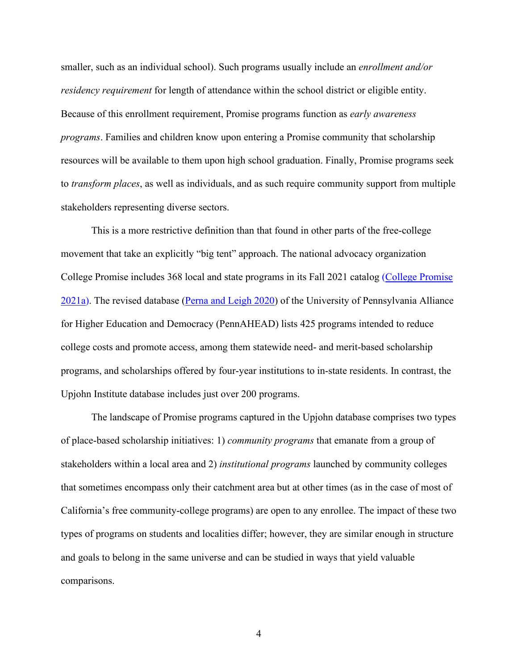smaller, such as an individual school). Such programs usually include an *enrollment and/or residency requirement* for length of attendance within the school district or eligible entity. Because of this enrollment requirement, Promise programs function as *early awareness programs*. Families and children know upon entering a Promise community that scholarship resources will be available to them upon high school graduation. Finally, Promise programs seek to *transform places*, as well as individuals, and as such require community support from multiple stakeholders representing diverse sectors.

This is a more restrictive definition than that found in other parts of the free-college movement that take an explicitly "big tent" approach. The national advocacy organization College Promise includes 368 local and state programs in its Fall 2021 catalog [\(College Promise](https://assets.website-files.com/61ba001bb59d05538c5a4bd8/61ba001bb59d05c3355a4c6b_College%20Promise%20Catalog%20Fall%202021_Final-min.pdf)  [2021a\)](https://assets.website-files.com/61ba001bb59d05538c5a4bd8/61ba001bb59d05c3355a4c6b_College%20Promise%20Catalog%20Fall%202021_Final-min.pdf). The revised database [\(Perna and Leigh 2020\)](https://ahead-penn.org/creating-knowledge/college-promise) of the University of Pennsylvania Alliance for Higher Education and Democracy (PennAHEAD) lists 425 programs intended to reduce college costs and promote access, among them statewide need- and merit-based scholarship programs, and scholarships offered by four-year institutions to in-state residents. In contrast, the Upjohn Institute database includes just over 200 programs.

The landscape of Promise programs captured in the Upjohn database comprises two types of place-based scholarship initiatives: 1) *community programs* that emanate from a group of stakeholders within a local area and 2) *institutional programs* launched by community colleges that sometimes encompass only their catchment area but at other times (as in the case of most of California's free community-college programs) are open to any enrollee. The impact of these two types of programs on students and localities differ; however, they are similar enough in structure and goals to belong in the same universe and can be studied in ways that yield valuable comparisons.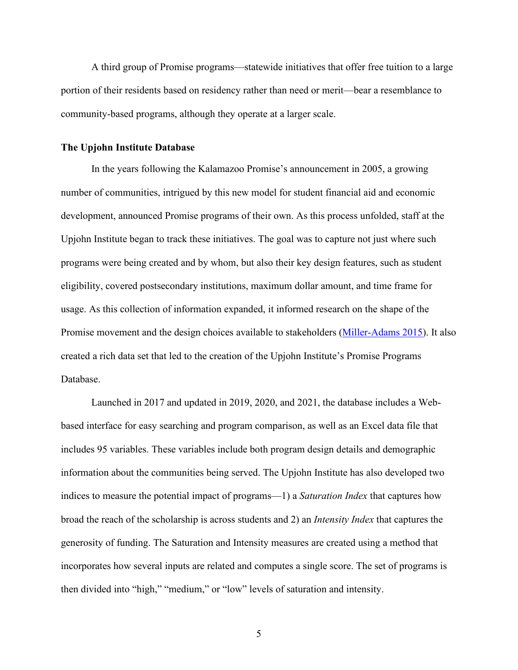A third group of Promise programs—statewide initiatives that offer free tuition to a large portion of their residents based on residency rather than need or merit—bear a resemblance to community-based programs, although they operate at a larger scale.

#### **The Upjohn Institute Database**

In the years following the Kalamazoo Promise's announcement in 2005, a growing number of communities, intrigued by this new model for student financial aid and economic development, announced Promise programs of their own. As this process unfolded, staff at the Upjohn Institute began to track these initiatives. The goal was to capture not just where such programs were being created and by whom, but also their key design features, such as student eligibility, covered postsecondary institutions, maximum dollar amount, and time frame for usage. As this collection of information expanded, it informed research on the shape of the Promise movement and the design choices available to stakeholders [\(Miller-Adams 2015\)](https://research.upjohn.org/up_press/235/). It also created a rich data set that led to the creation of the Upjohn Institute's Promise Programs Database.

Launched in 2017 and updated in 2019, 2020, and 2021, the database includes a Webbased interface for easy searching and program comparison, as well as an Excel data file that includes 95 variables. These variables include both program design details and demographic information about the communities being served. The Upjohn Institute has also developed two indices to measure the potential impact of programs—1) a *Saturation Index* that captures how broad the reach of the scholarship is across students and 2) an *Intensity Index* that captures the generosity of funding. The Saturation and Intensity measures are created using a method that incorporates how several inputs are related and computes a single score. The set of programs is then divided into "high," "medium," or "low" levels of saturation and intensity.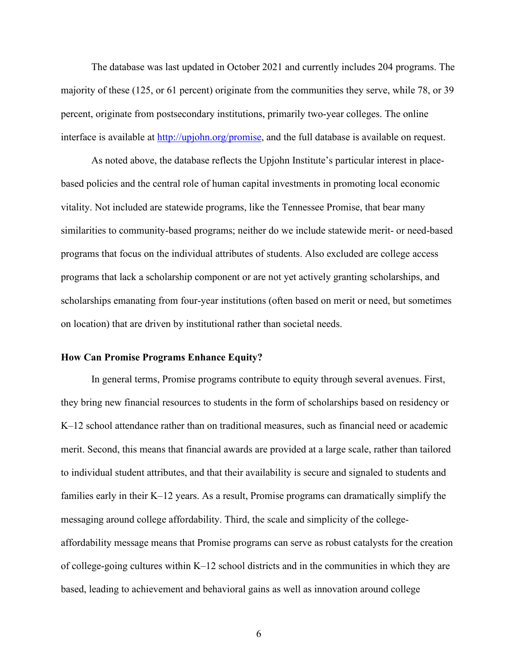The database was last updated in October 2021 and currently includes 204 programs. The majority of these (125, or 61 percent) originate from the communities they serve, while 78, or 39 percent, originate from postsecondary institutions, primarily two-year colleges. The online interface is available at [http://upjohn.org/promise,](https://www.upjohn.org/promise/) and the full database is available on request.

As noted above, the database reflects the Upjohn Institute's particular interest in placebased policies and the central role of human capital investments in promoting local economic vitality. Not included are statewide programs, like the Tennessee Promise, that bear many similarities to community-based programs; neither do we include statewide merit- or need-based programs that focus on the individual attributes of students. Also excluded are college access programs that lack a scholarship component or are not yet actively granting scholarships, and scholarships emanating from four-year institutions (often based on merit or need, but sometimes on location) that are driven by institutional rather than societal needs.

## **How Can Promise Programs Enhance Equity?**

In general terms, Promise programs contribute to equity through several avenues. First, they bring new financial resources to students in the form of scholarships based on residency or K–12 school attendance rather than on traditional measures, such as financial need or academic merit. Second, this means that financial awards are provided at a large scale, rather than tailored to individual student attributes, and that their availability is secure and signaled to students and families early in their K–12 years. As a result, Promise programs can dramatically simplify the messaging around college affordability. Third, the scale and simplicity of the collegeaffordability message means that Promise programs can serve as robust catalysts for the creation of college-going cultures within K–12 school districts and in the communities in which they are based, leading to achievement and behavioral gains as well as innovation around college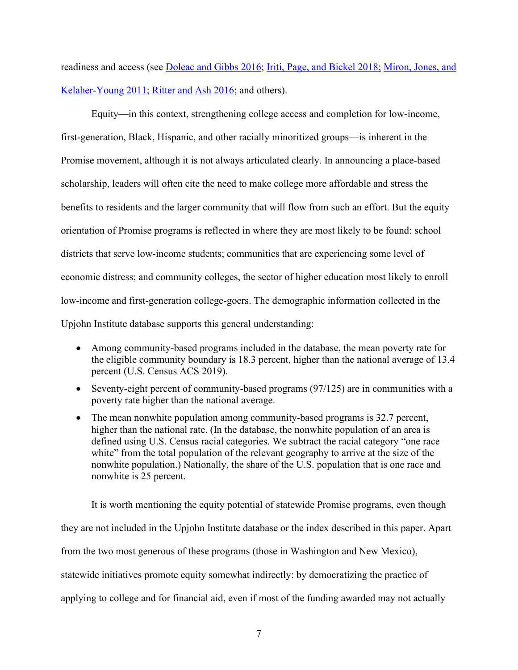readiness and access (see [Doleac and Gibbs 2016;](http://jenniferdoleac.com/wp-content/uploads/2015/03/Doleac_Gibbs_PromiseRiskyBehaviors.pdf) [Iriti, Page, and Bickel 2018;](https://www.sciencedirect.com/science/article/abs/pii/S0738059317301049) [Miron, Jones, and](https://epaa.asu.edu/ojs/index.php/epaa/article/view/724)  [Kelaher-Young 2011;](https://epaa.asu.edu/ojs/index.php/epaa/article/view/724) [Ritter and Ash 2016;](https://journals.sagepub.com/doi/full/10.1177/0031721716629652) and others).

Equity—in this context, strengthening college access and completion for low-income, first-generation, Black, Hispanic, and other racially minoritized groups—is inherent in the Promise movement, although it is not always articulated clearly. In announcing a place-based scholarship, leaders will often cite the need to make college more affordable and stress the benefits to residents and the larger community that will flow from such an effort. But the equity orientation of Promise programs is reflected in where they are most likely to be found: school districts that serve low-income students; communities that are experiencing some level of economic distress; and community colleges, the sector of higher education most likely to enroll low-income and first-generation college-goers. The demographic information collected in the Upjohn Institute database supports this general understanding:

- Among community-based programs included in the database, the mean poverty rate for the eligible community boundary is 18.3 percent, higher than the national average of 13.4 percent (U.S. Census ACS 2019).
- Seventy-eight percent of community-based programs (97/125) are in communities with a poverty rate higher than the national average.
- The mean nonwhite population among community-based programs is 32.7 percent, higher than the national rate. (In the database, the nonwhite population of an area is defined using U.S. Census racial categories. We subtract the racial category "one race white" from the total population of the relevant geography to arrive at the size of the nonwhite population.) Nationally, the share of the U.S. population that is one race and nonwhite is 25 percent.

It is worth mentioning the equity potential of statewide Promise programs, even though they are not included in the Upjohn Institute database or the index described in this paper. Apart from the two most generous of these programs (those in Washington and New Mexico), statewide initiatives promote equity somewhat indirectly: by democratizing the practice of applying to college and for financial aid, even if most of the funding awarded may not actually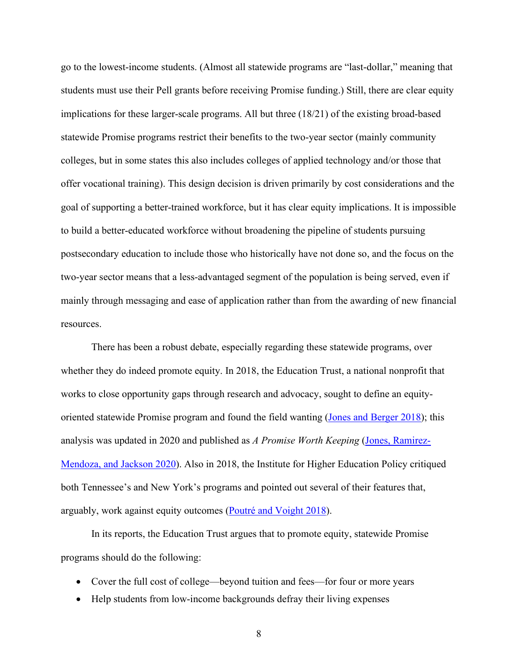go to the lowest-income students. (Almost all statewide programs are "last-dollar," meaning that students must use their Pell grants before receiving Promise funding.) Still, there are clear equity implications for these larger-scale programs. All but three (18/21) of the existing broad-based statewide Promise programs restrict their benefits to the two-year sector (mainly community colleges, but in some states this also includes colleges of applied technology and/or those that offer vocational training). This design decision is driven primarily by cost considerations and the goal of supporting a better-trained workforce, but it has clear equity implications. It is impossible to build a better-educated workforce without broadening the pipeline of students pursuing postsecondary education to include those who historically have not done so, and the focus on the two-year sector means that a less-advantaged segment of the population is being served, even if mainly through messaging and ease of application rather than from the awarding of new financial resources.

There has been a robust debate, especially regarding these statewide programs, over whether they do indeed promote equity. In 2018, the Education Trust, a national nonprofit that works to close opportunity gaps through research and advocacy, sought to define an equity-oriented statewide Promise program and found the field wanting [\(Jones and Berger 2018\)](https://edtrust.org/resource/a-promise-fulfilled/); this analysis was updated in 2020 and published as *A Promise Worth Keeping* [\(Jones, Ramirez-](https://edtrust.org/wp-content/uploads/2014/09/A-Promise-Worth-Keeping_An-Updated-Equity-Driven-Framework-for-Free-College-Programs_October_2020.pdf)[Mendoza, and Jackson 2020\)](https://edtrust.org/wp-content/uploads/2014/09/A-Promise-Worth-Keeping_An-Updated-Equity-Driven-Framework-for-Free-College-Programs_October_2020.pdf). Also in 2018, the Institute for Higher Education Policy critiqued both Tennessee's and New York's programs and pointed out several of their features that, arguably, work against equity outcomes [\(Poutré and Voight 2018\)](https://www.ihep.org/wp-content/uploads/2018/09/uploads_docs_pubs_ihep_state_free_college_intro.pdf).

In its reports, the Education Trust argues that to promote equity, statewide Promise programs should do the following:

- Cover the full cost of college—beyond tuition and fees—for four or more years
- Help students from low-income backgrounds defray their living expenses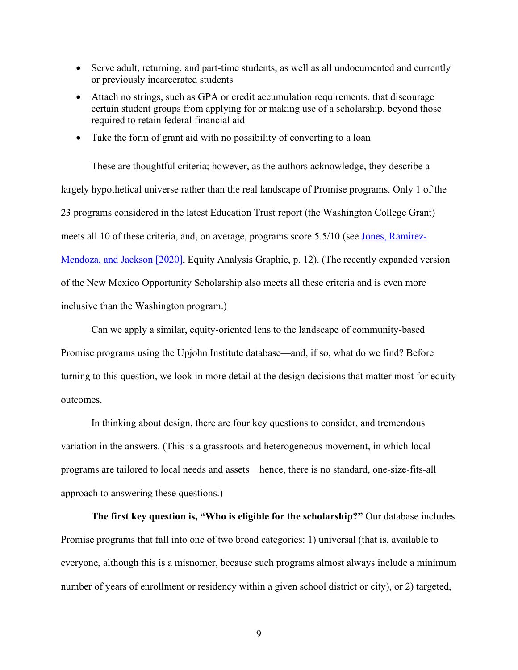- Serve adult, returning, and part-time students, as well as all undocumented and currently or previously incarcerated students
- Attach no strings, such as GPA or credit accumulation requirements, that discourage certain student groups from applying for or making use of a scholarship, beyond those required to retain federal financial aid
- Take the form of grant aid with no possibility of converting to a loan

These are thoughtful criteria; however, as the authors acknowledge, they describe a largely hypothetical universe rather than the real landscape of Promise programs. Only 1 of the 23 programs considered in the latest Education Trust report (the Washington College Grant) meets all 10 of these criteria, and, on average, programs score 5.5/10 (see [Jones, Ramirez-](https://edtrust.org/wp-content/uploads/2014/09/A-Promise-Worth-Keeping_An-Updated-Equity-Driven-Framework-for-Free-College-Programs_October_2020.pdf)[Mendoza, and Jackson \[2020\],](https://edtrust.org/wp-content/uploads/2014/09/A-Promise-Worth-Keeping_An-Updated-Equity-Driven-Framework-for-Free-College-Programs_October_2020.pdf) Equity Analysis Graphic, p. 12). (The recently expanded version of the New Mexico Opportunity Scholarship also meets all these criteria and is even more inclusive than the Washington program.)

Can we apply a similar, equity-oriented lens to the landscape of community-based Promise programs using the Upjohn Institute database—and, if so, what do we find? Before turning to this question, we look in more detail at the design decisions that matter most for equity outcomes.

In thinking about design, there are four key questions to consider, and tremendous variation in the answers. (This is a grassroots and heterogeneous movement, in which local programs are tailored to local needs and assets—hence, there is no standard, one-size-fits-all approach to answering these questions.)

**The first key question is, "Who is eligible for the scholarship?"** Our database includes Promise programs that fall into one of two broad categories: 1) universal (that is, available to everyone, although this is a misnomer, because such programs almost always include a minimum number of years of enrollment or residency within a given school district or city), or 2) targeted,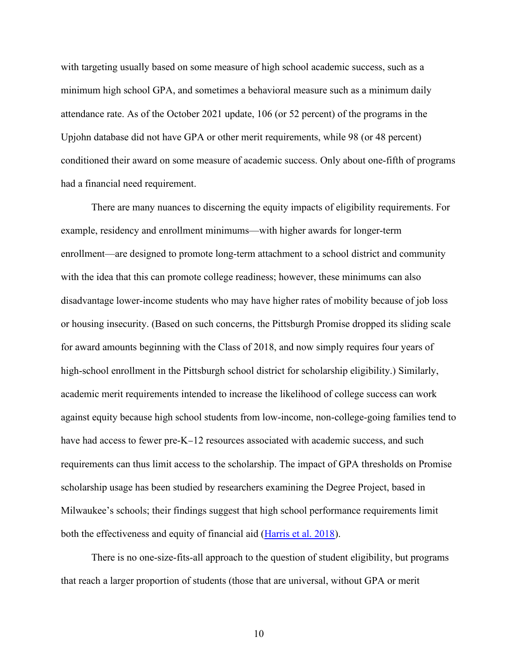with targeting usually based on some measure of high school academic success, such as a minimum high school GPA, and sometimes a behavioral measure such as a minimum daily attendance rate. As of the October 2021 update, 106 (or 52 percent) of the programs in the Upjohn database did not have GPA or other merit requirements, while 98 (or 48 percent) conditioned their award on some measure of academic success. Only about one-fifth of programs had a financial need requirement.

There are many nuances to discerning the equity impacts of eligibility requirements. For example, residency and enrollment minimums—with higher awards for longer-term enrollment—are designed to promote long-term attachment to a school district and community with the idea that this can promote college readiness; however, these minimums can also disadvantage lower-income students who may have higher rates of mobility because of job loss or housing insecurity. (Based on such concerns, the Pittsburgh Promise dropped its sliding scale for award amounts beginning with the Class of 2018, and now simply requires four years of high-school enrollment in the Pittsburgh school district for scholarship eligibility.) Similarly, academic merit requirements intended to increase the likelihood of college success can work against equity because high school students from low-income, non-college-going families tend to have had access to fewer pre-K–12 resources associated with academic success, and such requirements can thus limit access to the scholarship. The impact of GPA thresholds on Promise scholarship usage has been studied by researchers examining the Degree Project, based in Milwaukee's schools; their findings suggest that high school performance requirements limit both the effectiveness and equity of financial aid [\(Harris et al. 2018\)](https://www.brookings.edu/research/the-promise-of-free-college-and-its-potential-pitfalls/).

There is no one-size-fits-all approach to the question of student eligibility, but programs that reach a larger proportion of students (those that are universal, without GPA or merit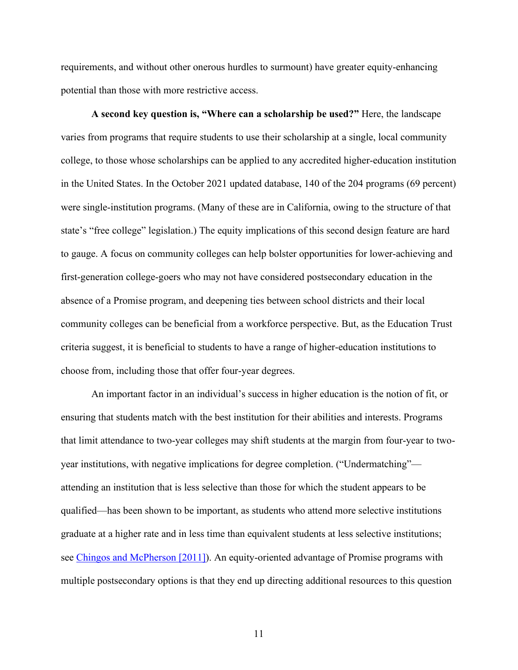requirements, and without other onerous hurdles to surmount) have greater equity-enhancing potential than those with more restrictive access.

**A second key question is, "Where can a scholarship be used?"** Here, the landscape varies from programs that require students to use their scholarship at a single, local community college, to those whose scholarships can be applied to any accredited higher-education institution in the United States. In the October 2021 updated database, 140 of the 204 programs (69 percent) were single-institution programs. (Many of these are in California, owing to the structure of that state's "free college" legislation.) The equity implications of this second design feature are hard to gauge. A focus on community colleges can help bolster opportunities for lower-achieving and first-generation college-goers who may not have considered postsecondary education in the absence of a Promise program, and deepening ties between school districts and their local community colleges can be beneficial from a workforce perspective. But, as the Education Trust criteria suggest, it is beneficial to students to have a range of higher-education institutions to choose from, including those that offer four-year degrees.

An important factor in an individual's success in higher education is the notion of fit, or ensuring that students match with the best institution for their abilities and interests. Programs that limit attendance to two-year colleges may shift students at the margin from four-year to twoyear institutions, with negative implications for degree completion. ("Undermatching" attending an institution that is less selective than those for which the student appears to be qualified—has been shown to be important, as students who attend more selective institutions graduate at a higher rate and in less time than equivalent students at less selective institutions; see [Chingos and McPherson \[2011\]](https://files.eric.ed.gov/fulltext/ED533213.pdf)). An equity-oriented advantage of Promise programs with multiple postsecondary options is that they end up directing additional resources to this question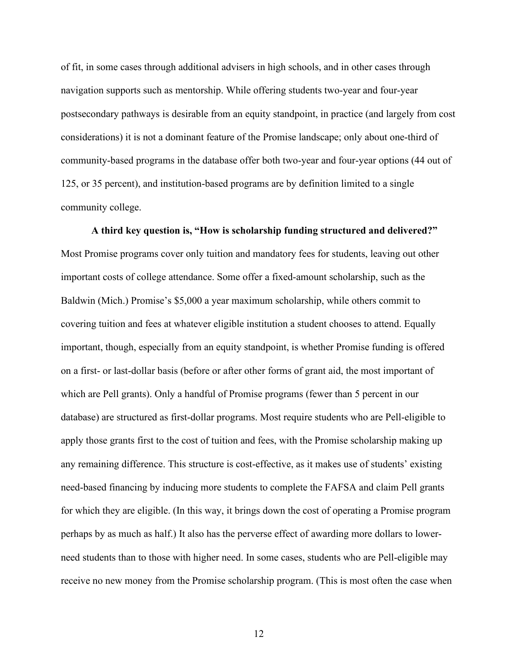of fit, in some cases through additional advisers in high schools, and in other cases through navigation supports such as mentorship. While offering students two-year and four-year postsecondary pathways is desirable from an equity standpoint, in practice (and largely from cost considerations) it is not a dominant feature of the Promise landscape; only about one-third of community-based programs in the database offer both two-year and four-year options (44 out of 125, or 35 percent), and institution-based programs are by definition limited to a single community college.

**A third key question is, "How is scholarship funding structured and delivered?"** Most Promise programs cover only tuition and mandatory fees for students, leaving out other important costs of college attendance. Some offer a fixed-amount scholarship, such as the Baldwin (Mich.) Promise's \$5,000 a year maximum scholarship, while others commit to covering tuition and fees at whatever eligible institution a student chooses to attend. Equally important, though, especially from an equity standpoint, is whether Promise funding is offered on a first- or last-dollar basis (before or after other forms of grant aid, the most important of which are Pell grants). Only a handful of Promise programs (fewer than 5 percent in our database) are structured as first-dollar programs. Most require students who are Pell-eligible to apply those grants first to the cost of tuition and fees, with the Promise scholarship making up any remaining difference. This structure is cost-effective, as it makes use of students' existing need-based financing by inducing more students to complete the FAFSA and claim Pell grants for which they are eligible. (In this way, it brings down the cost of operating a Promise program perhaps by as much as half.) It also has the perverse effect of awarding more dollars to lowerneed students than to those with higher need. In some cases, students who are Pell-eligible may receive no new money from the Promise scholarship program. (This is most often the case when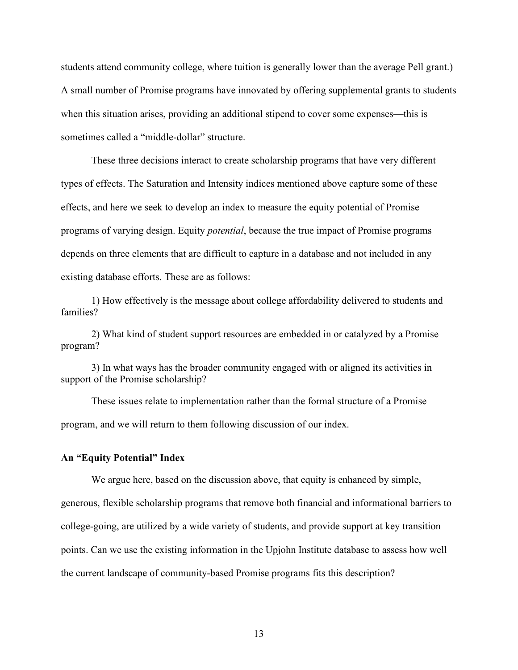students attend community college, where tuition is generally lower than the average Pell grant.) A small number of Promise programs have innovated by offering supplemental grants to students when this situation arises, providing an additional stipend to cover some expenses—this is sometimes called a "middle-dollar" structure.

These three decisions interact to create scholarship programs that have very different types of effects. The Saturation and Intensity indices mentioned above capture some of these effects, and here we seek to develop an index to measure the equity potential of Promise programs of varying design. Equity *potential*, because the true impact of Promise programs depends on three elements that are difficult to capture in a database and not included in any existing database efforts. These are as follows:

1) How effectively is the message about college affordability delivered to students and families?

2) What kind of student support resources are embedded in or catalyzed by a Promise program?

3) In what ways has the broader community engaged with or aligned its activities in support of the Promise scholarship?

These issues relate to implementation rather than the formal structure of a Promise program, and we will return to them following discussion of our index.

#### **An "Equity Potential" Index**

We argue here, based on the discussion above, that equity is enhanced by simple, generous, flexible scholarship programs that remove both financial and informational barriers to college-going, are utilized by a wide variety of students, and provide support at key transition points. Can we use the existing information in the Upjohn Institute database to assess how well the current landscape of community-based Promise programs fits this description?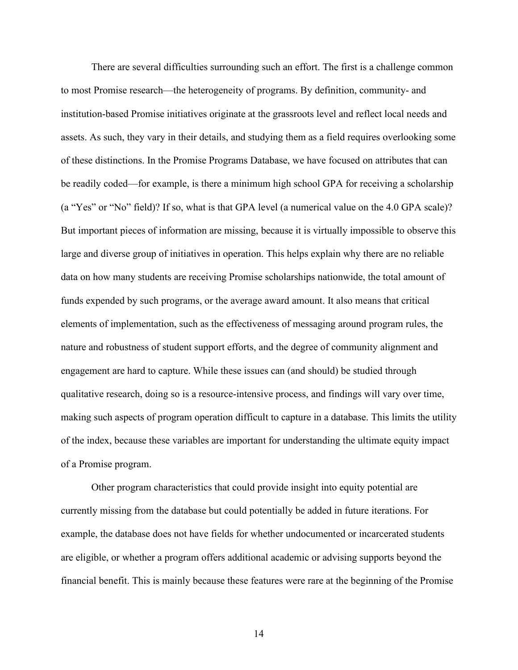There are several difficulties surrounding such an effort. The first is a challenge common to most Promise research—the heterogeneity of programs. By definition, community- and institution-based Promise initiatives originate at the grassroots level and reflect local needs and assets. As such, they vary in their details, and studying them as a field requires overlooking some of these distinctions. In the Promise Programs Database, we have focused on attributes that can be readily coded—for example, is there a minimum high school GPA for receiving a scholarship (a "Yes" or "No" field)? If so, what is that GPA level (a numerical value on the 4.0 GPA scale)? But important pieces of information are missing, because it is virtually impossible to observe this large and diverse group of initiatives in operation. This helps explain why there are no reliable data on how many students are receiving Promise scholarships nationwide, the total amount of funds expended by such programs, or the average award amount. It also means that critical elements of implementation, such as the effectiveness of messaging around program rules, the nature and robustness of student support efforts, and the degree of community alignment and engagement are hard to capture. While these issues can (and should) be studied through qualitative research, doing so is a resource-intensive process, and findings will vary over time, making such aspects of program operation difficult to capture in a database. This limits the utility of the index, because these variables are important for understanding the ultimate equity impact of a Promise program.

Other program characteristics that could provide insight into equity potential are currently missing from the database but could potentially be added in future iterations. For example, the database does not have fields for whether undocumented or incarcerated students are eligible, or whether a program offers additional academic or advising supports beyond the financial benefit. This is mainly because these features were rare at the beginning of the Promise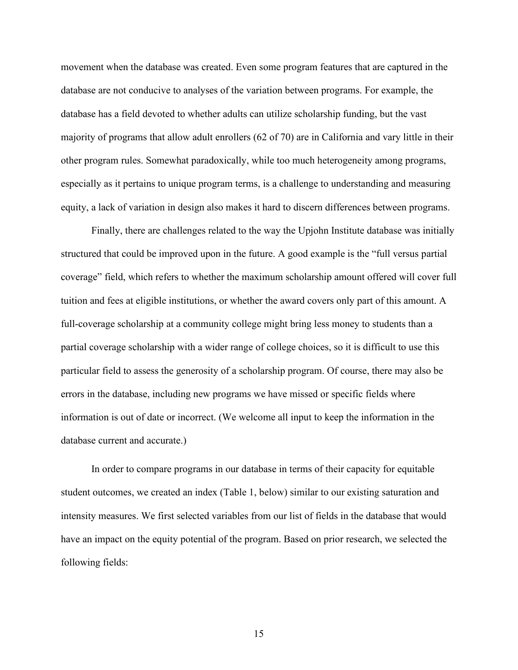movement when the database was created. Even some program features that are captured in the database are not conducive to analyses of the variation between programs. For example, the database has a field devoted to whether adults can utilize scholarship funding, but the vast majority of programs that allow adult enrollers (62 of 70) are in California and vary little in their other program rules. Somewhat paradoxically, while too much heterogeneity among programs, especially as it pertains to unique program terms, is a challenge to understanding and measuring equity, a lack of variation in design also makes it hard to discern differences between programs.

Finally, there are challenges related to the way the Upjohn Institute database was initially structured that could be improved upon in the future. A good example is the "full versus partial coverage" field, which refers to whether the maximum scholarship amount offered will cover full tuition and fees at eligible institutions, or whether the award covers only part of this amount. A full-coverage scholarship at a community college might bring less money to students than a partial coverage scholarship with a wider range of college choices, so it is difficult to use this particular field to assess the generosity of a scholarship program. Of course, there may also be errors in the database, including new programs we have missed or specific fields where information is out of date or incorrect. (We welcome all input to keep the information in the database current and accurate.)

In order to compare programs in our database in terms of their capacity for equitable student outcomes, we created an index (Table 1, below) similar to our existing saturation and intensity measures. We first selected variables from our list of fields in the database that would have an impact on the equity potential of the program. Based on prior research, we selected the following fields: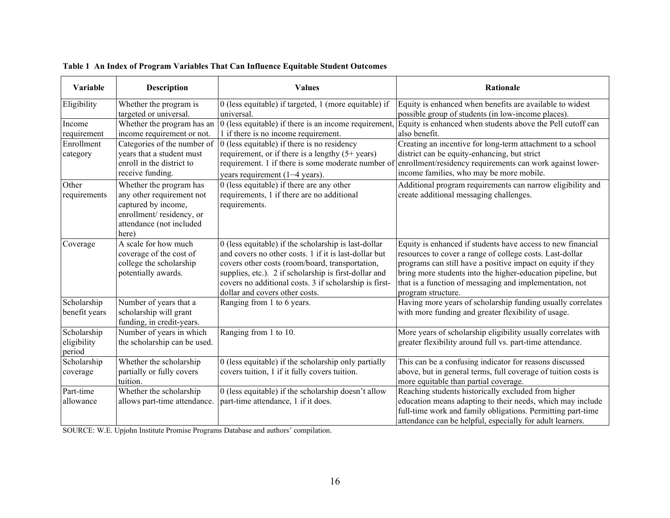| Variable      | <b>Description</b>                            | <b>Values</b>                                                                        | Rationale                                                                                             |
|---------------|-----------------------------------------------|--------------------------------------------------------------------------------------|-------------------------------------------------------------------------------------------------------|
| Eligibility   | Whether the program is                        | 0 (less equitable) if targeted, 1 (more equitable) if                                | Equity is enhanced when benefits are available to widest                                              |
|               | targeted or universal.                        | universal.                                                                           | possible group of students (in low-income places).                                                    |
| Income        | Whether the program has an                    | 0 (less equitable) if there is an income requirement                                 | Equity is enhanced when students above the Pell cutoff can                                            |
| requirement   | income requirement or not.                    | 1 if there is no income requirement.                                                 | also benefit.                                                                                         |
| Enrollment    | Categories of the number of                   | $0$ (less equitable) if there is no residency                                        | Creating an incentive for long-term attachment to a school                                            |
| category      | years that a student must                     | requirement, or if there is a lengthy $(5+)$ years)                                  | district can be equity-enhancing, but strict                                                          |
|               | enroll in the district to<br>receive funding. | requirement. 1 if there is some moderate number of<br>years requirement (1-4 years). | enrollment/residency requirements can work against lower-<br>income families, who may be more mobile. |
| Other         | Whether the program has                       | 0 (less equitable) if there are any other                                            | Additional program requirements can narrow eligibility and                                            |
| requirements  | any other requirement not                     | requirements, 1 if there are no additional                                           | create additional messaging challenges.                                                               |
|               | captured by income,                           | requirements.                                                                        |                                                                                                       |
|               | enrollment/residency, or                      |                                                                                      |                                                                                                       |
|               | attendance (not included                      |                                                                                      |                                                                                                       |
|               | here)                                         |                                                                                      |                                                                                                       |
| Coverage      | A scale for how much                          | $\overline{0}$ (less equitable) if the scholarship is last-dollar                    | Equity is enhanced if students have access to new financial                                           |
|               | coverage of the cost of                       | and covers no other costs. 1 if it is last-dollar but                                | resources to cover a range of college costs. Last-dollar                                              |
|               | college the scholarship                       | covers other costs (room/board, transportation,                                      | programs can still have a positive impact on equity if they                                           |
|               | potentially awards.                           | supplies, etc.). 2 if scholarship is first-dollar and                                | bring more students into the higher-education pipeline, but                                           |
|               |                                               | covers no additional costs. 3 if scholarship is first-                               | that is a function of messaging and implementation, not                                               |
|               |                                               | dollar and covers other costs.                                                       | program structure.                                                                                    |
| Scholarship   | Number of years that a                        | Ranging from 1 to 6 years.                                                           | Having more years of scholarship funding usually correlates                                           |
| benefit years | scholarship will grant                        |                                                                                      | with more funding and greater flexibility of usage.                                                   |
|               | funding, in credit-years.                     |                                                                                      |                                                                                                       |
| Scholarship   | Number of years in which                      | Ranging from 1 to 10.                                                                | More years of scholarship eligibility usually correlates with                                         |
| eligibility   | the scholarship can be used.                  |                                                                                      | greater flexibility around full vs. part-time attendance.                                             |
| period        |                                               |                                                                                      |                                                                                                       |
| Scholarship   | Whether the scholarship                       | 0 (less equitable) if the scholarship only partially                                 | This can be a confusing indicator for reasons discussed                                               |
| coverage      | partially or fully covers                     | covers tuition, 1 if it fully covers tuition.                                        | above, but in general terms, full coverage of tuition costs is                                        |
|               | tuition.                                      |                                                                                      | more equitable than partial coverage.                                                                 |
| Part-time     | Whether the scholarship                       | 0 (less equitable) if the scholarship doesn't allow                                  | Reaching students historically excluded from higher                                                   |
| allowance     | allows part-time attendance.                  | part-time attendance, 1 if it does.                                                  | education means adapting to their needs, which may include                                            |
|               |                                               |                                                                                      | full-time work and family obligations. Permitting part-time                                           |
|               |                                               |                                                                                      | attendance can be helpful, especially for adult learners.                                             |

# **Table 1 An Index of Program Variables That Can Influence Equitable Student Outcomes**

SOURCE: W.E. Upjohn Institute Promise Programs Database and authors' compilation.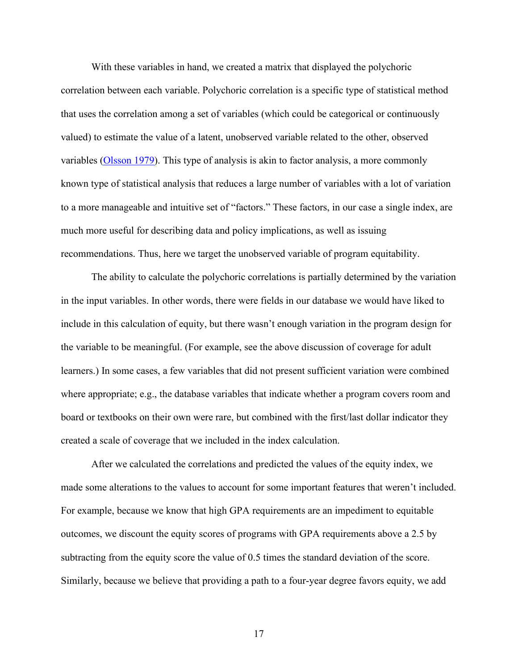With these variables in hand, we created a matrix that displayed the polychoric correlation between each variable. Polychoric correlation is a specific type of statistical method that uses the correlation among a set of variables (which could be categorical or continuously valued) to estimate the value of a latent, unobserved variable related to the other, observed variables [\(Olsson 1979\)](https://link.springer.com/article/10.1007/BF02296207). This type of analysis is akin to factor analysis, a more commonly known type of statistical analysis that reduces a large number of variables with a lot of variation to a more manageable and intuitive set of "factors." These factors, in our case a single index, are much more useful for describing data and policy implications, as well as issuing recommendations. Thus, here we target the unobserved variable of program equitability.

The ability to calculate the polychoric correlations is partially determined by the variation in the input variables. In other words, there were fields in our database we would have liked to include in this calculation of equity, but there wasn't enough variation in the program design for the variable to be meaningful. (For example, see the above discussion of coverage for adult learners.) In some cases, a few variables that did not present sufficient variation were combined where appropriate; e.g., the database variables that indicate whether a program covers room and board or textbooks on their own were rare, but combined with the first/last dollar indicator they created a scale of coverage that we included in the index calculation.

After we calculated the correlations and predicted the values of the equity index, we made some alterations to the values to account for some important features that weren't included. For example, because we know that high GPA requirements are an impediment to equitable outcomes, we discount the equity scores of programs with GPA requirements above a 2.5 by subtracting from the equity score the value of 0.5 times the standard deviation of the score. Similarly, because we believe that providing a path to a four-year degree favors equity, we add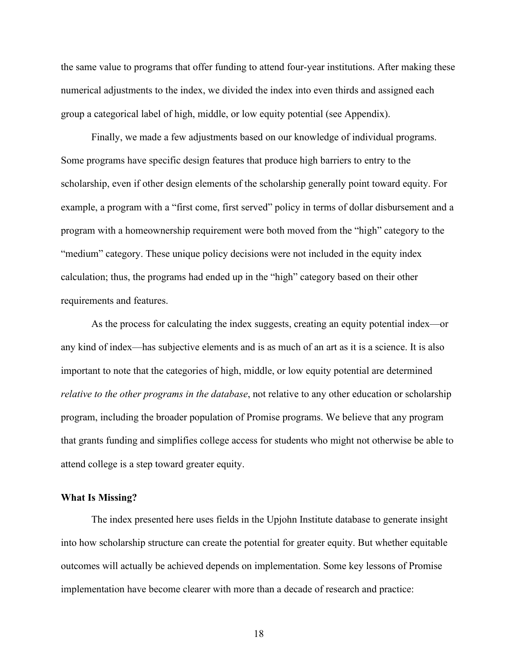the same value to programs that offer funding to attend four-year institutions. After making these numerical adjustments to the index, we divided the index into even thirds and assigned each group a categorical label of high, middle, or low equity potential (see Appendix).

Finally, we made a few adjustments based on our knowledge of individual programs. Some programs have specific design features that produce high barriers to entry to the scholarship, even if other design elements of the scholarship generally point toward equity. For example, a program with a "first come, first served" policy in terms of dollar disbursement and a program with a homeownership requirement were both moved from the "high" category to the "medium" category. These unique policy decisions were not included in the equity index calculation; thus, the programs had ended up in the "high" category based on their other requirements and features.

As the process for calculating the index suggests, creating an equity potential index—or any kind of index—has subjective elements and is as much of an art as it is a science. It is also important to note that the categories of high, middle, or low equity potential are determined *relative to the other programs in the database*, not relative to any other education or scholarship program, including the broader population of Promise programs. We believe that any program that grants funding and simplifies college access for students who might not otherwise be able to attend college is a step toward greater equity.

### **What Is Missing?**

The index presented here uses fields in the Upjohn Institute database to generate insight into how scholarship structure can create the potential for greater equity. But whether equitable outcomes will actually be achieved depends on implementation. Some key lessons of Promise implementation have become clearer with more than a decade of research and practice: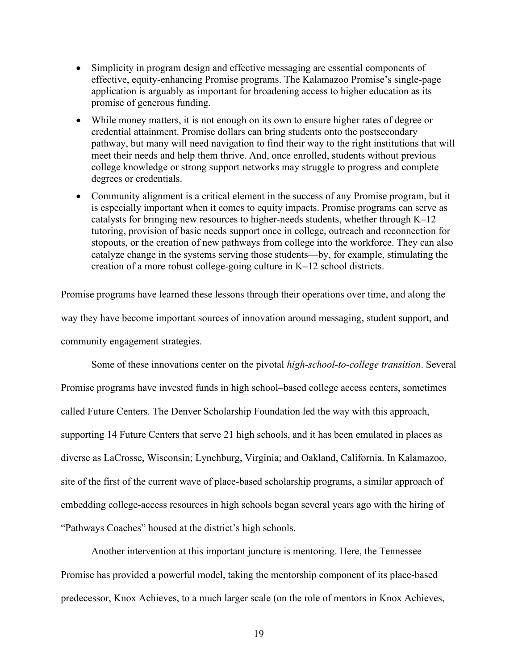- Simplicity in program design and effective messaging are essential components of effective, equity-enhancing Promise programs. The Kalamazoo Promise's single-page application is arguably as important for broadening access to higher education as its promise of generous funding.
- While money matters, it is not enough on its own to ensure higher rates of degree or credential attainment. Promise dollars can bring students onto the postsecondary pathway, but many will need navigation to find their way to the right institutions that will meet their needs and help them thrive. And, once enrolled, students without previous college knowledge or strong support networks may struggle to progress and complete degrees or credentials.
- Community alignment is a critical element in the success of any Promise program, but it is especially important when it comes to equity impacts. Promise programs can serve as catalysts for bringing new resources to higher-needs students, whether through K–12 tutoring, provision of basic needs support once in college, outreach and reconnection for stopouts, or the creation of new pathways from college into the workforce. They can also catalyze change in the systems serving those students—by, for example, stimulating the creation of a more robust college-going culture in K–12 school districts.

Promise programs have learned these lessons through their operations over time, and along the way they have become important sources of innovation around messaging, student support, and community engagement strategies.

Some of these innovations center on the pivotal *high-school-to-college transition*. Several Promise programs have invested funds in high school–based college access centers, sometimes called Future Centers. The Denver Scholarship Foundation led the way with this approach, supporting 14 Future Centers that serve 21 high schools, and it has been emulated in places as diverse as LaCrosse, Wisconsin; Lynchburg, Virginia; and Oakland, California. In Kalamazoo, site of the first of the current wave of place-based scholarship programs, a similar approach of embedding college-access resources in high schools began several years ago with the hiring of "Pathways Coaches" housed at the district's high schools.

Another intervention at this important juncture is mentoring. Here, the Tennessee Promise has provided a powerful model, taking the mentorship component of its place-based predecessor, Knox Achieves, to a much larger scale (on the role of mentors in Knox Achieves,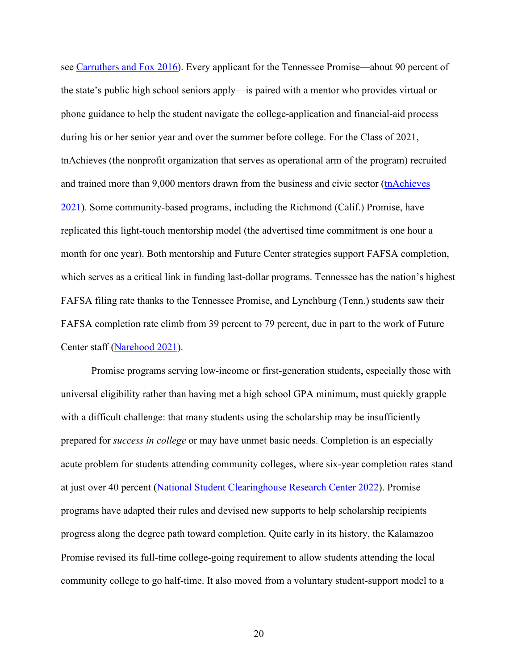see [Carruthers and Fox 2016\)](https://www.sciencedirect.com/science/article/abs/pii/S0272775715000771). Every applicant for the Tennessee Promise—about 90 percent of the state's public high school seniors apply—is paired with a mentor who provides virtual or phone guidance to help the student navigate the college-application and financial-aid process during his or her senior year and over the summer before college. For the Class of 2021, tnAchieves (the nonprofit organization that serves as operational arm of the program) recruited and trained more than 9,000 mentors drawn from the business and civic sector [\(tnAchieves](https://tnachieves.org/lib/file/manager/Statistics_Documents/2021_Mentor_Program_Report.pdf)  [2021\)](https://tnachieves.org/lib/file/manager/Statistics_Documents/2021_Mentor_Program_Report.pdf). Some community-based programs, including the Richmond (Calif.) Promise, have replicated this light-touch mentorship model (the advertised time commitment is one hour a month for one year). Both mentorship and Future Center strategies support FAFSA completion, which serves as a critical link in funding last-dollar programs. Tennessee has the nation's highest FAFSA filing rate thanks to the Tennessee Promise, and Lynchburg (Tenn.) students saw their FAFSA completion rate climb from 39 percent to 79 percent, due in part to the work of Future Center staff [\(Narehood 2021\)](https://assets.website-files.com/61ba001bb59d05538c5a4bd8/61fbf25492d8c35fffaf73e4_Lynchburg%20Policy%20Brief%20(3).pdf).

Promise programs serving low-income or first-generation students, especially those with universal eligibility rather than having met a high school GPA minimum, must quickly grapple with a difficult challenge: that many students using the scholarship may be insufficiently prepared for *success in college* or may have unmet basic needs. Completion is an especially acute problem for students attending community colleges, where six-year completion rates stand at just over 40 percent [\(National Student Clearinghouse Research Center 2022\)](https://nscresearchcenter.org/wp-content/uploads/Completions_Report_2021.pdf). Promise programs have adapted their rules and devised new supports to help scholarship recipients progress along the degree path toward completion. Quite early in its history, the Kalamazoo Promise revised its full-time college-going requirement to allow students attending the local community college to go half-time. It also moved from a voluntary student-support model to a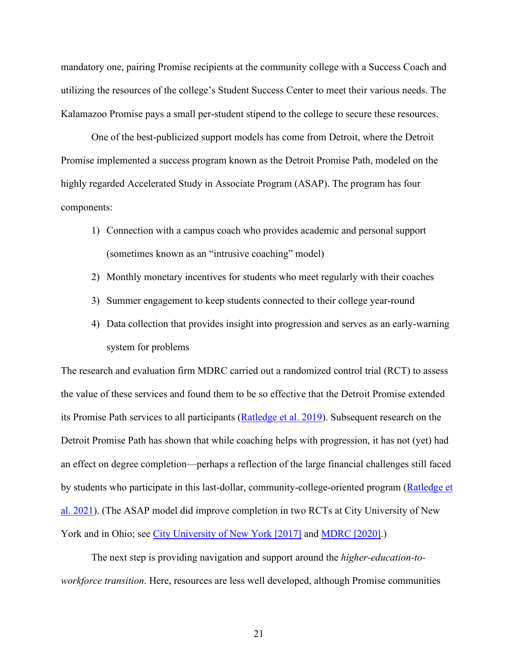mandatory one, pairing Promise recipients at the community college with a Success Coach and utilizing the resources of the college's Student Success Center to meet their various needs. The Kalamazoo Promise pays a small per-student stipend to the college to secure these resources.

One of the best-publicized support models has come from Detroit, where the Detroit Promise implemented a success program known as the Detroit Promise Path, modeled on the highly regarded Accelerated Study in Associate Program (ASAP). The program has four components:

- 1) Connection with a campus coach who provides academic and personal support (sometimes known as an "intrusive coaching" model)
- 2) Monthly monetary incentives for students who meet regularly with their coaches
- 3) Summer engagement to keep students connected to their college year-round
- 4) Data collection that provides insight into progression and serves as an early-warning system for problems

The research and evaluation firm MDRC carried out a randomized control trial (RCT) to assess the value of these services and found them to be so effective that the Detroit Promise extended its Promise Path services to all participants [\(Ratledge et al. 2019\)](https://www.mdrc.org/sites/default/files/Detroit_Promise_Path_Report-Final_0.pdf). Subsequent research on the Detroit Promise Path has shown that while coaching helps with progression, it has not (yet) had an effect on degree completion—perhaps a reflection of the large financial challenges still faced by students who participate in this last-dollar, community-college-oriented program (Ratledge et [al. 2021\)](https://www.mdrc.org/sites/default/files/DetroitPromis_Path-Final.pdf). (The ASAP model did improve completion in two RCTs at City University of New York and in Ohio; see [City University of New York \[2017\]](https://www1.cuny.edu/sites/asap/evaluation/#1485896758384-38213ace-5ac5) and [MDRC \[2020\].](https://www.mdrc.org/news/mdrc-news/asap-ohio-yields-successful-results))

The next step is providing navigation and support around the *higher-education-toworkforce transition*. Here, resources are less well developed, although Promise communities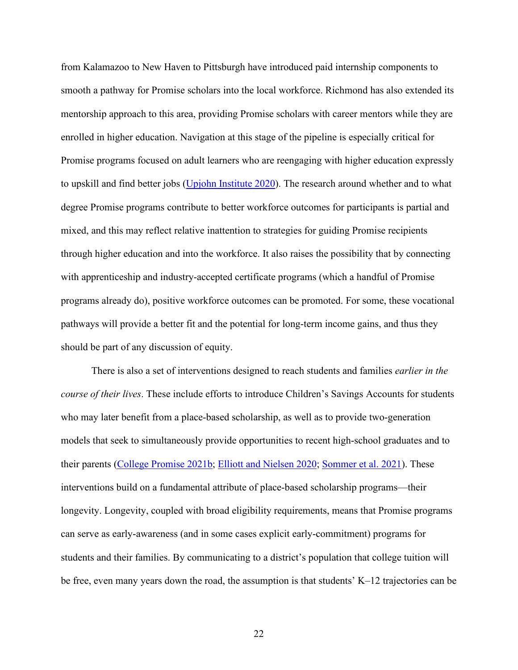from Kalamazoo to New Haven to Pittsburgh have introduced paid internship components to smooth a pathway for Promise scholars into the local workforce. Richmond has also extended its mentorship approach to this area, providing Promise scholars with career mentors while they are enrolled in higher education. Navigation at this stage of the pipeline is especially critical for Promise programs focused on adult learners who are reengaging with higher education expressly to upskill and find better jobs [\(Upjohn Institute 2020\)](https://kcscholars.org/wp-content/uploads/2020/03/Postsecondary-Outcomes-for-Adult-Learner-Scholars-2019.pdf). The research around whether and to what degree Promise programs contribute to better workforce outcomes for participants is partial and mixed, and this may reflect relative inattention to strategies for guiding Promise recipients through higher education and into the workforce. It also raises the possibility that by connecting with apprenticeship and industry-accepted certificate programs (which a handful of Promise programs already do), positive workforce outcomes can be promoted. For some, these vocational pathways will provide a better fit and the potential for long-term income gains, and thus they should be part of any discussion of equity.

There is also a set of interventions designed to reach students and families *earlier in the course of their lives*. These include efforts to introduce Children's Savings Accounts for students who may later benefit from a place-based scholarship, as well as to provide two-generation models that seek to simultaneously provide opportunities to recent high-school graduates and to their parents [\(College Promise 2021b;](https://assets.website-files.com/61ba001bb59d05538c5a4bd8/61d31a90a0ea5ce0b01ad00a_building-assets-and-aspirations-nov-21-final-min.pdf) [Elliott and Nielsen 2020;](https://www.collegepromise.org/newsandinsights/reimagining-college-promise-programs-a-wealth-perspective) [Sommer et al. 2021\)](https://assets.website-files.com/61ba001bb59d05538c5a4bd8/61d319ec83733e11d06b6332_hope-toledo-brief.pdf). These interventions build on a fundamental attribute of place-based scholarship programs—their longevity. Longevity, coupled with broad eligibility requirements, means that Promise programs can serve as early-awareness (and in some cases explicit early-commitment) programs for students and their families. By communicating to a district's population that college tuition will be free, even many years down the road, the assumption is that students' K–12 trajectories can be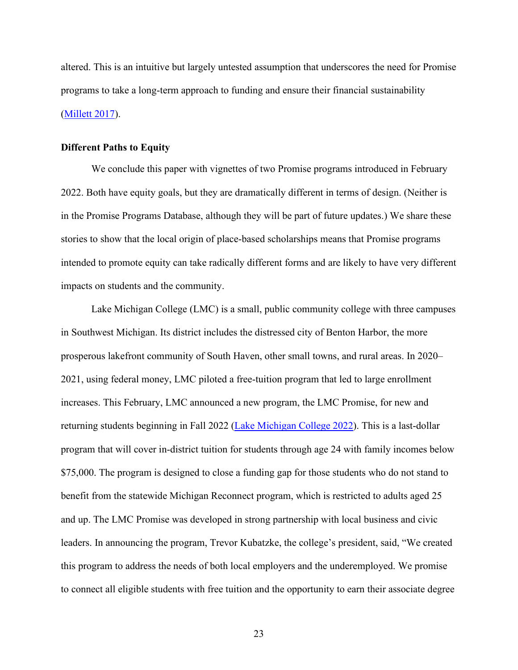altered. This is an intuitive but largely untested assumption that underscores the need for Promise programs to take a long-term approach to funding and ensure their financial sustainability [\(Millett 2017\)](https://files.eric.ed.gov/fulltext/EJ1168715.pdf).

#### **Different Paths to Equity**

We conclude this paper with vignettes of two Promise programs introduced in February 2022. Both have equity goals, but they are dramatically different in terms of design. (Neither is in the Promise Programs Database, although they will be part of future updates.) We share these stories to show that the local origin of place-based scholarships means that Promise programs intended to promote equity can take radically different forms and are likely to have very different impacts on students and the community.

Lake Michigan College (LMC) is a small, public community college with three campuses in Southwest Michigan. Its district includes the distressed city of Benton Harbor, the more prosperous lakefront community of South Haven, other small towns, and rural areas. In 2020– 2021, using federal money, LMC piloted a free-tuition program that led to large enrollment increases. This February, LMC announced a new program, the LMC Promise, for new and returning students beginning in Fall 2022 [\(Lake Michigan College 2022\)](https://www.lakemichigancollege.edu/about/news-events/2022-02/lmc-announces-new-free-tuition-program-lmc-promise). This is a last-dollar program that will cover in-district tuition for students through age 24 with family incomes below \$75,000. The program is designed to close a funding gap for those students who do not stand to benefit from the statewide Michigan Reconnect program, which is restricted to adults aged 25 and up. The LMC Promise was developed in strong partnership with local business and civic leaders. In announcing the program, Trevor Kubatzke, the college's president, said, "We created this program to address the needs of both local employers and the underemployed. We promise to connect all eligible students with free tuition and the opportunity to earn their associate degree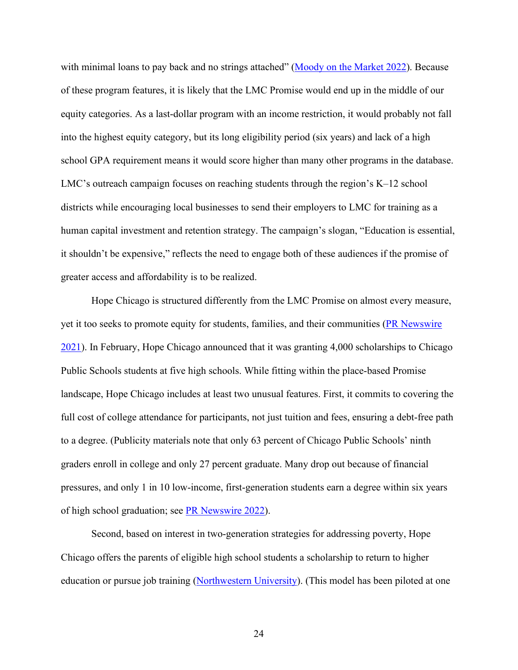with minimal loans to pay back and no strings attached" [\(Moody on the Market 2022\)](https://www.moodyonthemarket.com/lmc-promise-offers-free-college-tuition-to-under-25s-who-qualify/). Because of these program features, it is likely that the LMC Promise would end up in the middle of our equity categories. As a last-dollar program with an income restriction, it would probably not fall into the highest equity category, but its long eligibility period (six years) and lack of a high school GPA requirement means it would score higher than many other programs in the database. LMC's outreach campaign focuses on reaching students through the region's K–12 school districts while encouraging local businesses to send their employers to LMC for training as a human capital investment and retention strategy. The campaign's slogan, "Education is essential, it shouldn't be expensive," reflects the need to engage both of these audiences if the promise of greater access and affordability is to be realized.

Hope Chicago is structured differently from the LMC Promise on almost every measure, yet it too seeks to promote equity for students, families, and their communities [\(PR Newswire](https://www.prnewswire.com/news-releases/hope-chicago-launches-transformative-1-billion-multi-generation-scholarship-program-sending-chicago-students-and-parents-to-college-301387421.html) [2021\)](https://www.prnewswire.com/news-releases/hope-chicago-launches-transformative-1-billion-multi-generation-scholarship-program-sending-chicago-students-and-parents-to-college-301387421.html). In February, Hope Chicago announced that it was granting 4,000 scholarships to Chicago Public Schools students at five high schools. While fitting within the place-based Promise landscape, Hope Chicago includes at least two unusual features. First, it commits to covering the full cost of college attendance for participants, not just tuition and fees, ensuring a debt-free path to a degree. (Publicity materials note that only 63 percent of Chicago Public Schools' ninth graders enroll in college and only 27 percent graduate. Many drop out because of financial pressures, and only 1 in 10 low-income, first-generation students earn a degree within six years of high school graduation; see **PR** Newswire 2022).

Second, based on interest in two-generation strategies for addressing poverty, Hope Chicago offers the parents of eligible high school students a scholarship to return to higher education or pursue job training [\(Northwestern University\)](https://sites.northwestern.edu/nu2gen/). (This model has been piloted at one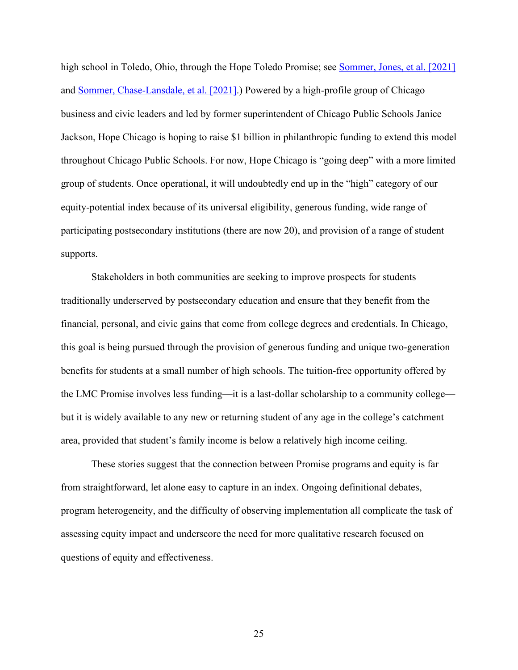high school in Toledo, Ohio, through the Hope Toledo Promise; see [Sommer, Jones, et al. \[2021\]](https://assets.website-files.com/61ba001bb59d05538c5a4bd8/61d319ec83733e11d06b6332_hope-toledo-brief.pdf) and [Sommer, Chase-Lansdale, et al. \[2021\].](https://cpb-us-e1.wpmucdn.com/sites.northwestern.edu/dist/6/3833/files/2021/08/HOPE-Toledo-Implementation-Report-1.pdf)) Powered by a high-profile group of Chicago business and civic leaders and led by former superintendent of Chicago Public Schools Janice Jackson, Hope Chicago is hoping to raise \$1 billion in philanthropic funding to extend this model throughout Chicago Public Schools. For now, Hope Chicago is "going deep" with a more limited group of students. Once operational, it will undoubtedly end up in the "high" category of our equity-potential index because of its universal eligibility, generous funding, wide range of participating postsecondary institutions (there are now 20), and provision of a range of student supports.

Stakeholders in both communities are seeking to improve prospects for students traditionally underserved by postsecondary education and ensure that they benefit from the financial, personal, and civic gains that come from college degrees and credentials. In Chicago, this goal is being pursued through the provision of generous funding and unique two-generation benefits for students at a small number of high schools. The tuition-free opportunity offered by the LMC Promise involves less funding—it is a last-dollar scholarship to a community college but it is widely available to any new or returning student of any age in the college's catchment area, provided that student's family income is below a relatively high income ceiling.

These stories suggest that the connection between Promise programs and equity is far from straightforward, let alone easy to capture in an index. Ongoing definitional debates, program heterogeneity, and the difficulty of observing implementation all complicate the task of assessing equity impact and underscore the need for more qualitative research focused on questions of equity and effectiveness.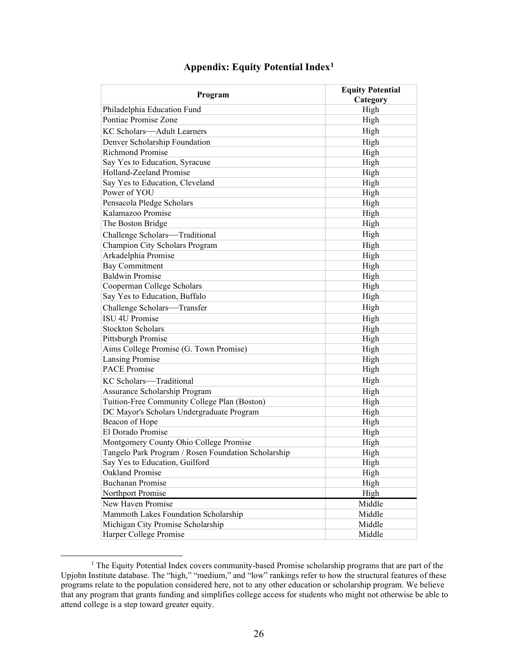| Program                                             | <b>Equity Potential</b> |
|-----------------------------------------------------|-------------------------|
|                                                     | Category                |
| Philadelphia Education Fund                         | High                    |
| Pontiac Promise Zone                                | High                    |
| KC Scholars-Adult Learners                          | High                    |
| Denver Scholarship Foundation                       | High                    |
| <b>Richmond Promise</b>                             | High                    |
| Say Yes to Education, Syracuse                      | High                    |
| Holland-Zeeland Promise                             | High                    |
| Say Yes to Education, Cleveland                     | High                    |
| Power of YOU                                        | High                    |
| Pensacola Pledge Scholars                           | High                    |
| Kalamazoo Promise                                   | High                    |
| The Boston Bridge                                   | High                    |
| Challenge Scholars-Traditional                      | High                    |
| Champion City Scholars Program                      | High                    |
| Arkadelphia Promise                                 | High                    |
| <b>Bay Commitment</b>                               | High                    |
| <b>Baldwin Promise</b>                              | High                    |
| Cooperman College Scholars                          | High                    |
| Say Yes to Education, Buffalo                       | High                    |
| Challenge Scholars-Transfer                         | High                    |
| ISU 4U Promise                                      | High                    |
| <b>Stockton Scholars</b>                            | High                    |
| Pittsburgh Promise                                  | High                    |
| Aims College Promise (G. Town Promise)              | High                    |
| <b>Lansing Promise</b>                              | High                    |
| <b>PACE Promise</b>                                 | High                    |
| KC Scholars-Traditional                             | High                    |
| Assurance Scholarship Program                       | High                    |
| Tuition-Free Community College Plan (Boston)        | High                    |
| DC Mayor's Scholars Undergraduate Program           | High                    |
| Beacon of Hope                                      | High                    |
| El Dorado Promise                                   | High                    |
| Montgomery County Ohio College Promise              | High                    |
| Tangelo Park Program / Rosen Foundation Scholarship | High                    |
| Say Yes to Education, Guilford                      | High                    |
| Oakland Promise                                     | High                    |
| <b>Buchanan Promise</b>                             | High                    |
| Northport Promise                                   | High                    |
| New Haven Promise                                   | Middle                  |
| Mammoth Lakes Foundation Scholarship                | Middle                  |
| Michigan City Promise Scholarship                   | Middle                  |
| Harper College Promise                              | Middle                  |

# **Appendix: Equity Potential Index[1](#page-27-0)**

<span id="page-27-0"></span><sup>&</sup>lt;sup>1</sup> The Equity Potential Index covers community-based Promise scholarship programs that are part of the Upjohn Institute database. The "high," "medium," and "low" rankings refer to how the structural features of these programs relate to the population considered here, not to any other education or scholarship program. We believe that any program that grants funding and simplifies college access for students who might not otherwise be able to attend college is a step toward greater equity.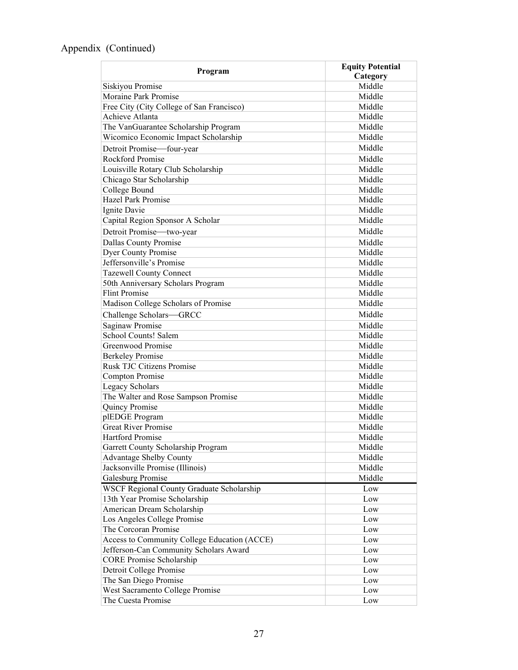# Appendix (Continued)

| Program                                          | <b>Equity Potential</b> |
|--------------------------------------------------|-------------------------|
|                                                  | Category<br>Middle      |
| Siskiyou Promise                                 | Middle                  |
| Moraine Park Promise                             |                         |
| Free City (City College of San Francisco)        | Middle                  |
| Achieve Atlanta                                  | Middle                  |
| The VanGuarantee Scholarship Program             | Middle                  |
| Wicomico Economic Impact Scholarship             | Middle                  |
| Detroit Promise-four-year                        | Middle                  |
| Rockford Promise                                 | Middle                  |
| Louisville Rotary Club Scholarship               | Middle                  |
| Chicago Star Scholarship                         | Middle                  |
| College Bound                                    | Middle                  |
| <b>Hazel Park Promise</b>                        | Middle                  |
| Ignite Davie                                     | Middle                  |
| Capital Region Sponsor A Scholar                 | Middle                  |
| Detroit Promise-two-year                         | Middle                  |
| <b>Dallas County Promise</b>                     | Middle                  |
| <b>Dyer County Promise</b>                       | Middle                  |
| Jeffersonville's Promise                         | Middle                  |
| <b>Tazewell County Connect</b>                   | Middle                  |
| 50th Anniversary Scholars Program                | Middle                  |
| <b>Flint Promise</b>                             | Middle                  |
|                                                  |                         |
| Madison College Scholars of Promise              | Middle                  |
| Challenge Scholars-GRCC                          | Middle                  |
| Saginaw Promise                                  | Middle                  |
| School Counts! Salem                             | Middle                  |
| Greenwood Promise                                | Middle                  |
| <b>Berkeley Promise</b>                          | Middle                  |
| <b>Rusk TJC Citizens Promise</b>                 | Middle                  |
| <b>Compton Promise</b>                           | Middle                  |
| Legacy Scholars                                  | Middle                  |
| The Walter and Rose Sampson Promise              | Middle                  |
| Quincy Promise                                   | Middle                  |
| plEDGE Program                                   | Middle                  |
| <b>Great River Promise</b>                       | Middle                  |
| <b>Hartford Promise</b>                          | Middle                  |
| Garrett County Scholarship Program               | Middle                  |
| <b>Advantage Shelby County</b>                   | Middle                  |
| Jacksonville Promise (Illinois)                  | Middle                  |
| Galesburg Promise                                | Middle                  |
| <b>WSCF Regional County Graduate Scholarship</b> | Low                     |
| 13th Year Promise Scholarship                    | Low                     |
| American Dream Scholarship                       | Low                     |
| Los Angeles College Promise                      | $_{\rm Low}$            |
| The Corcoran Promise                             | Low                     |
| Access to Community College Education (ACCE)     | Low                     |
| Jefferson-Can Community Scholars Award           | Low                     |
| <b>CORE Promise Scholarship</b>                  | Low                     |
|                                                  |                         |
| Detroit College Promise<br>The San Diego Promise | Low                     |
|                                                  | Low                     |
| West Sacramento College Promise                  | Low                     |
| The Cuesta Promise                               | Low                     |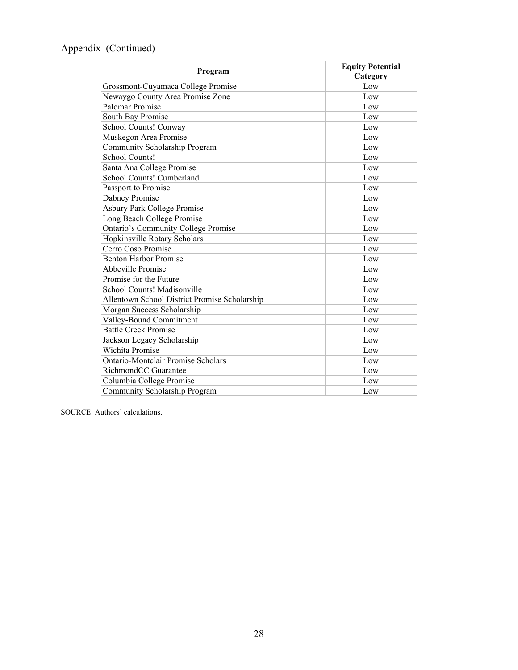# Appendix (Continued)

| Program                                       | <b>Equity Potential</b> |
|-----------------------------------------------|-------------------------|
|                                               | Category                |
| Grossmont-Cuyamaca College Promise            | Low                     |
| Newaygo County Area Promise Zone              | Low                     |
| Palomar Promise                               | Low                     |
| South Bay Promise                             | Low                     |
| School Counts! Conway                         | Low                     |
| Muskegon Area Promise                         | Low                     |
| Community Scholarship Program                 | Low                     |
| School Counts!                                | Low                     |
| Santa Ana College Promise                     | Low                     |
| School Counts! Cumberland                     | Low                     |
| Passport to Promise                           | Low                     |
| Dabney Promise                                | Low                     |
| <b>Asbury Park College Promise</b>            | Low                     |
| Long Beach College Promise                    | Low                     |
| Ontario's Community College Promise           | Low                     |
| Hopkinsville Rotary Scholars                  | Low                     |
| Cerro Coso Promise                            | Low                     |
| <b>Benton Harbor Promise</b>                  | Low                     |
| Abbeville Promise                             | Low                     |
| Promise for the Future                        | Low                     |
| School Counts! Madisonville                   | Low                     |
| Allentown School District Promise Scholarship | Low                     |
| Morgan Success Scholarship                    | Low                     |
| Valley-Bound Commitment                       | Low                     |
| <b>Battle Creek Promise</b>                   | Low                     |
| Jackson Legacy Scholarship                    | Low                     |
| Wichita Promise                               | Low                     |
| Ontario-Montclair Promise Scholars            | Low                     |
| RichmondCC Guarantee                          | Low                     |
| Columbia College Promise                      | Low                     |
| Community Scholarship Program                 | Low                     |

SOURCE: Authors' calculations.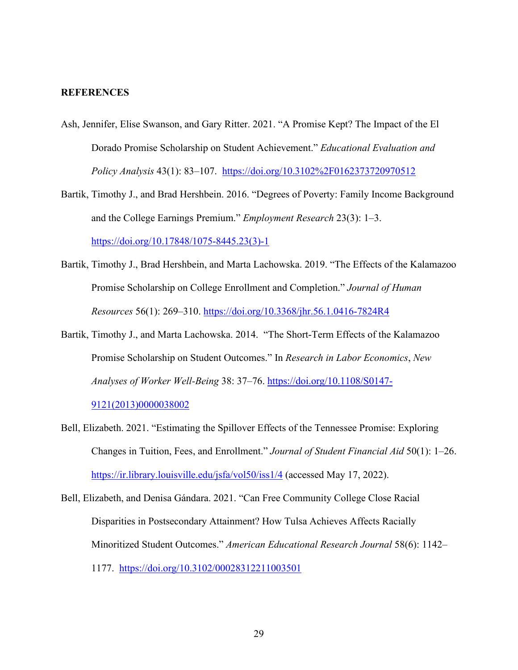#### **REFERENCES**

- Ash, Jennifer, Elise Swanson, and Gary Ritter. 2021. "A Promise Kept? The Impact of the El Dorado Promise Scholarship on Student Achievement." *Educational Evaluation and Policy Analysis* 43(1): 83–107. [https://doi.org/10.3102%2F0162373720970512](https://journals.sagepub.com/doi/10.3102/0162373720970512)
- Bartik, Timothy J., and Brad Hershbein. 2016. "Degrees of Poverty: Family Income Background and the College Earnings Premium." *Employment Research* 23(3): 1–3. [https://doi.org/10.17848/1075-8445.23\(3\)-1](https://doi.org/10.17848/1075-8445.23(3)-1)
- Bartik, Timothy J., Brad Hershbein, and Marta Lachowska. 2019. "The Effects of the Kalamazoo Promise Scholarship on College Enrollment and Completion." *Journal of Human Resources* 56(1): 269–310. [https://doi.org/10.3368/jhr.56.1.0416-7824R4](http://jhr.uwpress.org/content/56/1/269)
- Bartik, Timothy J., and Marta Lachowska. 2014. "The Short-Term Effects of the Kalamazoo Promise Scholarship on Student Outcomes." In *Research in Labor Economics*, *New Analyses of Worker Well-Being* 38: 37–76. [https://doi.org/10.1108/S0147-](https://www.emerald.com/insight/content/doi/10.1108/S0147-9121(2013)0000038002/full/html)

[9121\(2013\)0000038002](https://www.emerald.com/insight/content/doi/10.1108/S0147-9121(2013)0000038002/full/html)

- Bell, Elizabeth. 2021. "Estimating the Spillover Effects of the Tennessee Promise: Exploring Changes in Tuition, Fees, and Enrollment." *Journal of Student Financial Aid* 50(1): 1–26. [https://ir.library.louisville.edu/jsfa/vol50/iss1/4](https://ir.library.louisville.edu/jsfa/vol50/iss1/4/) (accessed May 17, 2022).
- Bell, Elizabeth, and Denisa Gándara. 2021. "Can Free Community College Close Racial Disparities in Postsecondary Attainment? How Tulsa Achieves Affects Racially Minoritized Student Outcomes." *American Educational Research Journal* 58(6): 1142– 1177. <https://doi.org/10.3102/00028312211003501>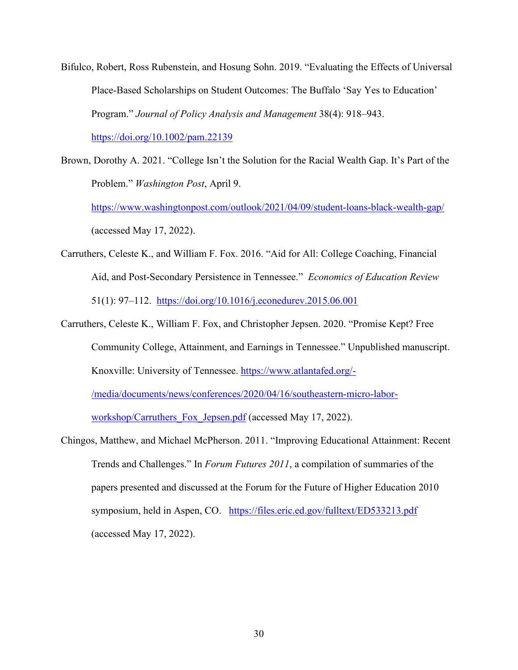Bifulco, Robert, Ross Rubenstein, and Hosung Sohn. 2019. "Evaluating the Effects of Universal Place-Based Scholarships on Student Outcomes: The Buffalo 'Say Yes to Education' Program." *Journal of Policy Analysis and Management* 38(4): 918–943.

<https://doi.org/10.1002/pam.22139>

Brown, Dorothy A. 2021. "College Isn't the Solution for the Racial Wealth Gap. It's Part of the Problem." *Washington Post*, April 9.

<https://www.washingtonpost.com/outlook/2021/04/09/student-loans-black-wealth-gap/> (accessed May 17, 2022).

- Carruthers, Celeste K., and William F. Fox. 2016. "Aid for All: College Coaching, Financial Aid, and Post-Secondary Persistence in Tennessee." *Economics of Education Review*  51(1): 97–112. <https://doi.org/10.1016/j.econedurev.2015.06.001>
- Carruthers, Celeste K., William F. Fox, and Christopher Jepsen. 2020. "Promise Kept? Free Community College, Attainment, and Earnings in Tennessee." Unpublished manuscript. Knoxville: University of Tennessee. [https://www.atlantafed.org/-](https://www.atlantafed.org/-/media/documents/news/conferences/2020/04/16/southeastern-micro-labor-workshop/Carruthers_Fox_Jepsen.pdf) [/media/documents/news/conferences/2020/04/16/southeastern-micro-labor-](https://www.atlantafed.org/-/media/documents/news/conferences/2020/04/16/southeastern-micro-labor-workshop/Carruthers_Fox_Jepsen.pdf)

workshop/Carruthers Fox Jepsen.pdf (accessed May 17, 2022).

Chingos, Matthew, and Michael McPherson. 2011. "Improving Educational Attainment: Recent Trends and Challenges." In *Forum Futures 2011*, a compilation of summaries of the papers presented and discussed at the Forum for the Future of Higher Education 2010 symposium, held in Aspen, CO. <https://files.eric.ed.gov/fulltext/ED533213.pdf> (accessed May 17, 2022).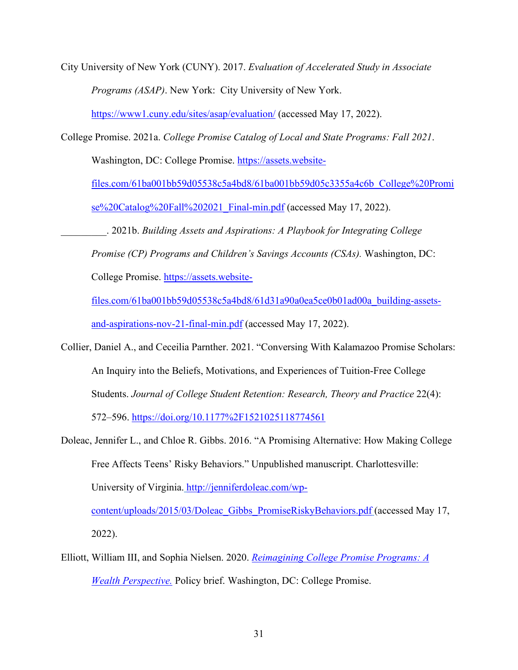City University of New York (CUNY). 2017. *Evaluation of Accelerated Study in Associate Programs (ASAP)*. New York: City University of New York.

<https://www1.cuny.edu/sites/asap/evaluation/> (accessed May 17, 2022).

College Promise. 2021a. *College Promise Catalog of Local and State Programs: Fall 2021*.

Washington, DC: College Promise. [https://assets.website-](https://assets.website-files.com/61ba001bb59d05538c5a4bd8/61ba001bb59d05c3355a4c6b_College%20Promise%20Catalog%20Fall%202021_Final-min.pdf)

[files.com/61ba001bb59d05538c5a4bd8/61ba001bb59d05c3355a4c6b\\_College%20Promi](https://assets.website-files.com/61ba001bb59d05538c5a4bd8/61ba001bb59d05c3355a4c6b_College%20Promise%20Catalog%20Fall%202021_Final-min.pdf)

[se%20Catalog%20Fall%202021\\_Final-min.pdf](https://assets.website-files.com/61ba001bb59d05538c5a4bd8/61ba001bb59d05c3355a4c6b_College%20Promise%20Catalog%20Fall%202021_Final-min.pdf) (accessed May 17, 2022).

\_\_\_\_\_\_\_\_\_. 2021b. *Building Assets and Aspirations: A Playbook for Integrating College* 

*Promise (CP) Programs and Children's Savings Accounts (CSAs).* Washington, DC:

College Promise. [https://assets.website-](https://assets.website-files.com/61ba001bb59d05538c5a4bd8/61d31a90a0ea5ce0b01ad00a_building-assets-and-aspirations-nov-21-final-min.pdf)

[files.com/61ba001bb59d05538c5a4bd8/61d31a90a0ea5ce0b01ad00a\\_building-assets](https://assets.website-files.com/61ba001bb59d05538c5a4bd8/61d31a90a0ea5ce0b01ad00a_building-assets-and-aspirations-nov-21-final-min.pdf)[and-aspirations-nov-21-final-min.pdf](https://assets.website-files.com/61ba001bb59d05538c5a4bd8/61d31a90a0ea5ce0b01ad00a_building-assets-and-aspirations-nov-21-final-min.pdf) (accessed May 17, 2022).

Collier, Daniel A., and Ceceilia Parnther. 2021. "Conversing With Kalamazoo Promise Scholars: An Inquiry into the Beliefs, Motivations, and Experiences of Tuition-Free College Students. *Journal of College Student Retention: Research, Theory and Practice* 22(4): 572–596. [https://doi.org/10.1177%2F1521025118774561](https://journals.sagepub.com/doi/10.1177/1521025118774561)

Doleac, Jennifer L., and Chloe R. Gibbs. 2016. "A Promising Alternative: How Making College Free Affects Teens' Risky Behaviors." Unpublished manuscript. Charlottesville: University of Virginia. [http://jenniferdoleac.com/wp](http://jenniferdoleac.com/wp-content/uploads/2015/03/Doleac_Gibbs_PromiseRiskyBehaviors.pdf)content/uploads/2015/03/Doleac Gibbs PromiseRiskyBehaviors.pdf (accessed May 17, 2022).

Elliott, William III, and Sophia Nielsen. 2020. *[Reimagining College Promise Programs: A](https://www.collegepromise.org/newsandinsights/reimagining-college-promise-programs-a-wealth-perspective)  [Wealth Perspective.](https://www.collegepromise.org/newsandinsights/reimagining-college-promise-programs-a-wealth-perspective)* Policy brief. Washington, DC: College Promise.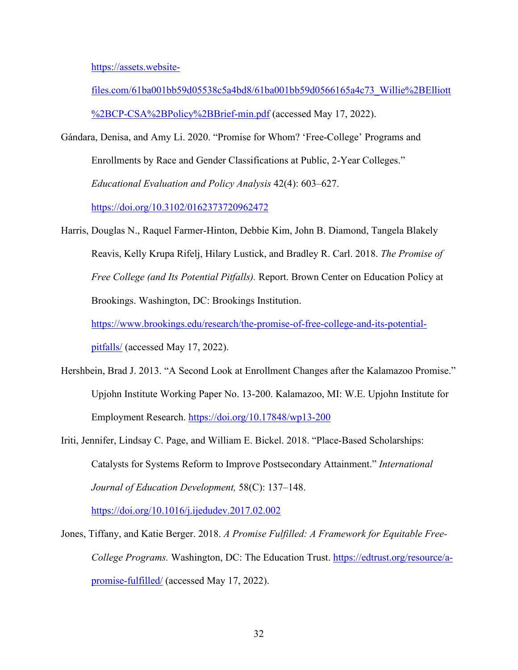[https://assets.website-](https://assets.website-files.com/61ba001bb59d05538c5a4bd8/61ba001bb59d0566165a4c73_Willie%2BElliott%2BCP-CSA%2BPolicy%2BBrief-min.pdf)

[files.com/61ba001bb59d05538c5a4bd8/61ba001bb59d0566165a4c73\\_Willie%2BElliott](https://assets.website-files.com/61ba001bb59d05538c5a4bd8/61ba001bb59d0566165a4c73_Willie%2BElliott%2BCP-CSA%2BPolicy%2BBrief-min.pdf) [%2BCP-CSA%2BPolicy%2BBrief-min.pdf](https://assets.website-files.com/61ba001bb59d05538c5a4bd8/61ba001bb59d0566165a4c73_Willie%2BElliott%2BCP-CSA%2BPolicy%2BBrief-min.pdf) (accessed May 17, 2022).

Gándara, Denisa, and Amy Li. 2020. "Promise for Whom? 'Free-College' Programs and Enrollments by Race and Gender Classifications at Public, 2-Year Colleges." *Educational Evaluation and Policy Analysis* 42(4): 603–627.

<https://doi.org/10.3102/0162373720962472>

Harris, Douglas N., Raquel Farmer-Hinton, Debbie Kim, John B. Diamond, Tangela Blakely Reavis, Kelly Krupa Rifelj, Hilary Lustick, and Bradley R. Carl. 2018. *The Promise of Free College (and Its Potential Pitfalls).* Report. Brown Center on Education Policy at Brookings. Washington, DC: Brookings Institution.

[https://www.brookings.edu/research/the-promise-of-free-college-and-its-potential](https://www.brookings.edu/research/the-promise-of-free-college-and-its-potential-pitfalls/)[pitfalls/](https://www.brookings.edu/research/the-promise-of-free-college-and-its-potential-pitfalls/) (accessed May 17, 2022).

- Hershbein, Brad J. 2013. "A Second Look at Enrollment Changes after the Kalamazoo Promise." Upjohn Institute Working Paper No. 13-200. Kalamazoo, MI: W.E. Upjohn Institute for Employment Research.<https://doi.org/10.17848/wp13-200>
- Iriti, Jennifer, Lindsay C. Page, and William E. Bickel. 2018. "Place-Based Scholarships: Catalysts for Systems Reform to Improve Postsecondary Attainment." *International Journal of Education Development,* 58(C): 137–148. <https://doi.org/10.1016/j.ijedudev.2017.02.002>

Jones, Tiffany, and Katie Berger. 2018. *A Promise Fulfilled: A Framework for Equitable Free-College Programs.* Washington, DC: The Education Trust. [https://edtrust.org/resource/a](https://edtrust.org/resource/a-promise-fulfilled/)[promise-fulfilled/](https://edtrust.org/resource/a-promise-fulfilled/) (accessed May 17, 2022).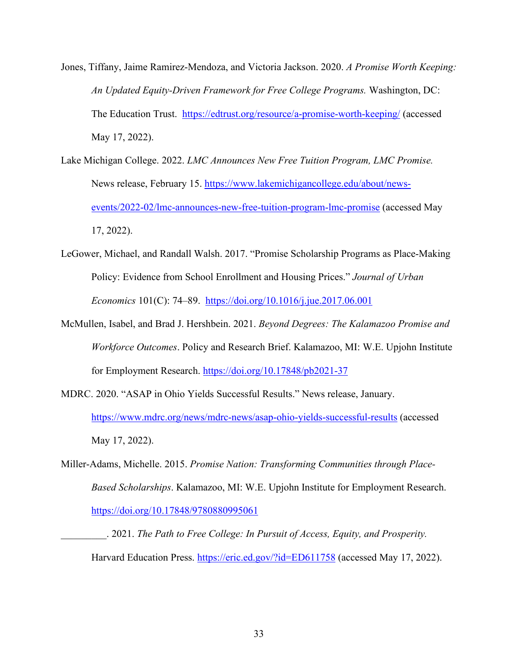- Jones, Tiffany, Jaime Ramirez-Mendoza, and Victoria Jackson. 2020. *A Promise Worth Keeping: An Updated Equity-Driven Framework for Free College Programs.* Washington, DC: The Education Trust. <https://edtrust.org/resource/a-promise-worth-keeping/> (accessed May 17, 2022).
- Lake Michigan College. 2022. *LMC Announces New Free Tuition Program, LMC Promise.*  News release, February 15. [https://www.lakemichigancollege.edu/about/news](https://www.lakemichigancollege.edu/about/news-events/2022-02/lmc-announces-new-free-tuition-program-lmc-promise)[events/2022-02/lmc-announces-new-free-tuition-program-lmc-promise](https://www.lakemichigancollege.edu/about/news-events/2022-02/lmc-announces-new-free-tuition-program-lmc-promise) (accessed May 17, 2022).
- LeGower, Michael, and Randall Walsh. 2017. "Promise Scholarship Programs as Place-Making Policy: Evidence from School Enrollment and Housing Prices." *Journal of Urban Economics* 101(C): 74–89. [https://doi.org/10.1016/j.jue.2017.06.001](https://www.sciencedirect.com/science/article/abs/pii/S0094119017300530)
- McMullen, Isabel, and Brad J. Hershbein. 2021. *Beyond Degrees: The Kalamazoo Promise and Workforce Outcomes*. Policy and Research Brief. Kalamazoo, MI: W.E. Upjohn Institute for Employment Research. [https://doi.org/10.17848/pb2021-37](https://research.upjohn.org/up_policybriefs/37/)
- MDRC. 2020. "ASAP in Ohio Yields Successful Results." News release, January. <https://www.mdrc.org/news/mdrc-news/asap-ohio-yields-successful-results> (accessed May 17, 2022).
- Miller-Adams, Michelle. 2015. *Promise Nation: Transforming Communities through Place-Based Scholarships*. Kalamazoo, MI: W.E. Upjohn Institute for Employment Research. [https://doi.org/10.17848/9780880995061](https://research.upjohn.org/up_press/235/) 
	- \_\_\_\_\_\_\_\_\_. 2021. *The Path to Free College: In Pursuit of Access, Equity, and Prosperity.*  Harvard Education Press.<https://eric.ed.gov/?id=ED611758> (accessed May 17, 2022).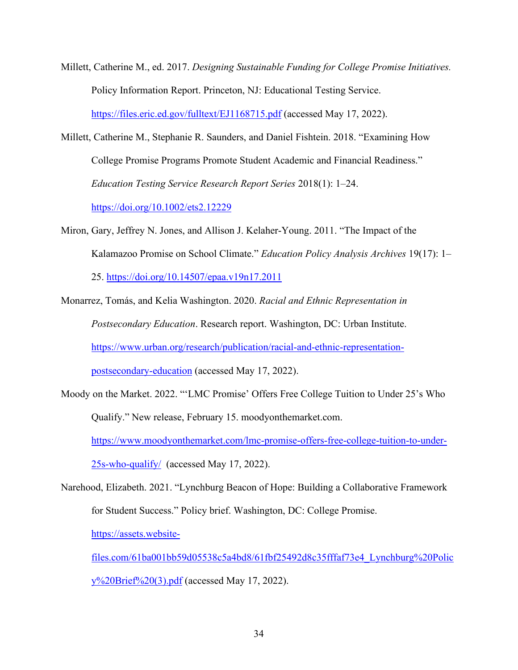- Millett, Catherine M., ed. 2017. *Designing Sustainable Funding for College Promise Initiatives.*  Policy Information Report. Princeton, NJ: Educational Testing Service. <https://files.eric.ed.gov/fulltext/EJ1168715.pdf>(accessed May 17, 2022).
- Millett, Catherine M., Stephanie R. Saunders, and Daniel Fishtein. 2018. "Examining How College Promise Programs Promote Student Academic and Financial Readiness." *Education Testing Service Research Report Series* 2018(1): 1–24. [https://doi.org/10.1002/ets2.12229](https://onlinelibrary.wiley.com/doi/10.1002/ets2.12229)
- Miron, Gary, Jeffrey N. Jones, and Allison J. Kelaher-Young. 2011. "The Impact of the Kalamazoo Promise on School Climate." *Education Policy Analysis Archives* 19(17): 1– 25. [https://doi.org/10.14507/epaa.v19n17.2011](https://epaa.asu.edu/index.php/epaa/article/view/724)
- Monarrez, Tomás, and Kelia Washington. 2020. *Racial and Ethnic Representation in Postsecondary Education*. Research report. Washington, DC: Urban Institute. [https://www.urban.org/research/publication/racial-and-ethnic-representation](https://www.urban.org/research/publication/racial-and-ethnic-representation-postsecondary-education)[postsecondary-education](https://www.urban.org/research/publication/racial-and-ethnic-representation-postsecondary-education) (accessed May 17, 2022).
- Moody on the Market. 2022. "'LMC Promise' Offers Free College Tuition to Under 25's Who Qualify." New release, February 15. moodyonthemarket.com. [https://www.moodyonthemarket.com/lmc-promise-offers-free-college-tuition-to-under-](https://www.moodyonthemarket.com/lmc-promise-offers-free-college-tuition-to-under-25s-who-qualify/)[25s-who-qualify/](https://www.moodyonthemarket.com/lmc-promise-offers-free-college-tuition-to-under-25s-who-qualify/) (accessed May 17, 2022).
- Narehood, Elizabeth. 2021. "Lynchburg Beacon of Hope: Building a Collaborative Framework for Student Success." Policy brief. Washington, DC: College Promise.

[https://assets.website-](https://assets.website-files.com/61ba001bb59d05538c5a4bd8/61fbf25492d8c35fffaf73e4_Lynchburg%20Policy%20Brief%20(3).pdf)

[files.com/61ba001bb59d05538c5a4bd8/61fbf25492d8c35fffaf73e4\\_Lynchburg%20Polic](https://assets.website-files.com/61ba001bb59d05538c5a4bd8/61fbf25492d8c35fffaf73e4_Lynchburg%20Policy%20Brief%20(3).pdf) [y%20Brief%20\(3\).pdf](https://assets.website-files.com/61ba001bb59d05538c5a4bd8/61fbf25492d8c35fffaf73e4_Lynchburg%20Policy%20Brief%20(3).pdf) (accessed May 17, 2022).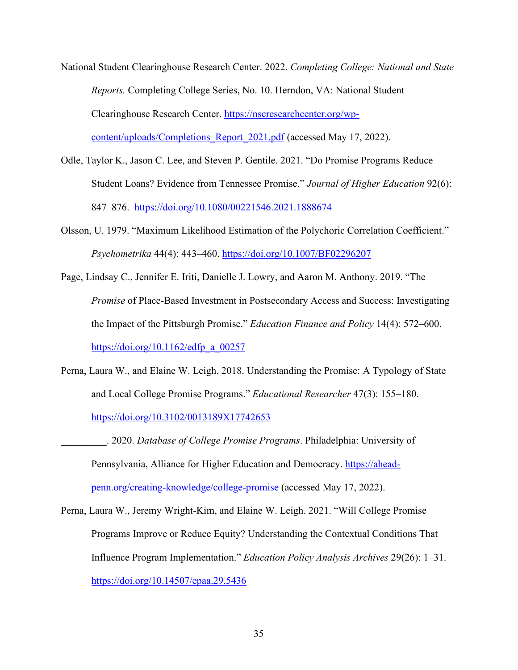- National Student Clearinghouse Research Center. 2022. *Completing College: National and State Reports.* Completing College Series, No. 10. Herndon, VA: National Student Clearinghouse Research Center. [https://nscresearchcenter.org/wp](https://nscresearchcenter.org/wp-content/uploads/Completions_Report_2021.pdf)[content/uploads/Completions\\_Report\\_2021.pdf](https://nscresearchcenter.org/wp-content/uploads/Completions_Report_2021.pdf) (accessed May 17, 2022).
- Odle, Taylor K., Jason C. Lee, and Steven P. Gentile. 2021. "Do Promise Programs Reduce Student Loans? Evidence from Tennessee Promise." *Journal of Higher Education* 92(6): 847–876. [https://doi.org/10.1080/00221546.2021.1888674](https://www.tandfonline.com/doi/full/10.1080/00221546.2021.1888674)
- Olsson, U. 1979. "Maximum Likelihood Estimation of the Polychoric Correlation Coefficient." *Psychometrika* 44(4): 443–460.<https://doi.org/10.1007/BF02296207>
- Page, Lindsay C., Jennifer E. Iriti, Danielle J. Lowry, and Aaron M. Anthony. 2019. "The *Promise* of Place-Based Investment in Postsecondary Access and Success: Investigating the Impact of the Pittsburgh Promise." *Education Finance and Policy* 14(4): 572–600. [https://doi.org/10.1162/edfp\\_a\\_00257](https://doi.org/10.1162/edfp_a_00257)
- Perna, Laura W., and Elaine W. Leigh. 2018. Understanding the Promise: A Typology of State and Local College Promise Programs." *Educational Researcher* 47(3): 155–180. [https://doi.org/10.3102/0013189X17742653](https://journals.sagepub.com/doi/10.3102/0013189X17742653)
- \_\_\_\_\_\_\_\_\_. 2020. *Database of College Promise Programs*. Philadelphia: University of Pennsylvania, Alliance for Higher Education and Democracy. [https://ahead](https://ahead-penn.org/creating-knowledge/college-promise)[penn.org/creating-knowledge/college-promise](https://ahead-penn.org/creating-knowledge/college-promise) (accessed May 17, 2022).
- Perna, Laura W., Jeremy Wright-Kim, and Elaine W. Leigh. 2021. "Will College Promise Programs Improve or Reduce Equity? Understanding the Contextual Conditions That Influence Program Implementation." *Education Policy Analysis Archives* 29(26): 1–31. [https://doi.org/10.14507/epaa.29.5436](https://epaa.asu.edu/index.php/epaa/article/view/5436)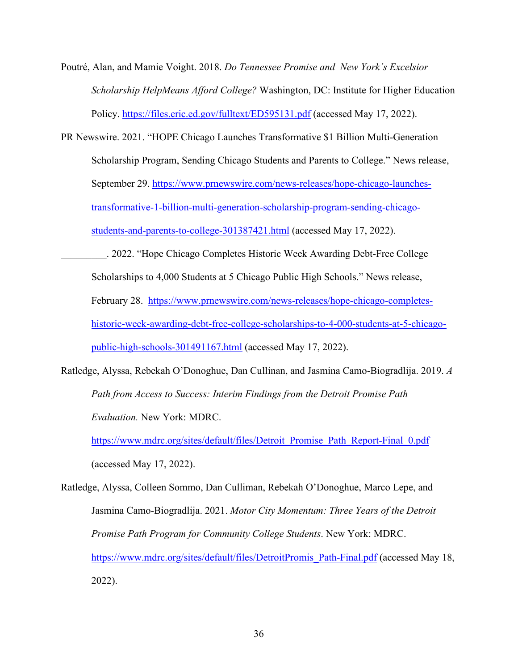Poutré, Alan, and Mamie Voight. 2018. *Do Tennessee Promise and New York's Excelsior Scholarship HelpMeans Afford College?* Washington, DC: Institute for Higher Education Policy.<https://files.eric.ed.gov/fulltext/ED595131.pdf>(accessed May 17, 2022).

PR Newswire. 2021. "HOPE Chicago Launches Transformative \$1 Billion Multi-Generation Scholarship Program, Sending Chicago Students and Parents to College." News release, September 29. [https://www.prnewswire.com/news-releases/hope-chicago-launches](https://www.prnewswire.com/news-releases/hope-chicago-launches-transformative-1-billion-multi-generation-scholarship-program-sending-chicago-students-and-parents-to-college-301387421.html)[transformative-1-billion-multi-generation-scholarship-program-sending-chicago](https://www.prnewswire.com/news-releases/hope-chicago-launches-transformative-1-billion-multi-generation-scholarship-program-sending-chicago-students-and-parents-to-college-301387421.html)[students-and-parents-to-college-301387421.html](https://www.prnewswire.com/news-releases/hope-chicago-launches-transformative-1-billion-multi-generation-scholarship-program-sending-chicago-students-and-parents-to-college-301387421.html) (accessed May 17, 2022).

\_\_\_\_\_\_\_\_\_. 2022. "Hope Chicago Completes Historic Week Awarding Debt-Free College Scholarships to 4,000 Students at 5 Chicago Public High Schools." News release, February 28. [https://www.prnewswire.com/news-releases/hope-chicago-completes](https://www.prnewswire.com/news-releases/hope-chicago-completes-historic-week-awarding-debt-free-college-scholarships-to-4-000-students-at-5-chicago-public-high-schools-301491167.html)[historic-week-awarding-debt-free-college-scholarships-to-4-000-students-at-5-chicago](https://www.prnewswire.com/news-releases/hope-chicago-completes-historic-week-awarding-debt-free-college-scholarships-to-4-000-students-at-5-chicago-public-high-schools-301491167.html)[public-high-schools-301491167.html](https://www.prnewswire.com/news-releases/hope-chicago-completes-historic-week-awarding-debt-free-college-scholarships-to-4-000-students-at-5-chicago-public-high-schools-301491167.html) (accessed May 17, 2022).

Ratledge, Alyssa, Rebekah O'Donoghue, Dan Cullinan, and Jasmina Camo-Biogradlija. 2019. *A Path from Access to Success: Interim Findings from the Detroit Promise Path Evaluation.* New York: MDRC.

[https://www.mdrc.org/sites/default/files/Detroit\\_Promise\\_Path\\_Report-Final\\_0.pdf](https://www.mdrc.org/sites/default/files/Detroit_Promise_Path_Report-Final_0.pdf) (accessed May 17, 2022).

Ratledge, Alyssa, Colleen Sommo, Dan Culliman, Rebekah O'Donoghue, Marco Lepe, and Jasmina Camo-Biogradlija. 2021. *Motor City Momentum: Three Years of the Detroit Promise Path Program for Community College Students*. New York: MDRC. [https://www.mdrc.org/sites/default/files/DetroitPromis\\_Path-Final.pdf](https://www.mdrc.org/sites/default/files/DetroitPromis_Path-Final.pdf) (accessed May 18, 2022).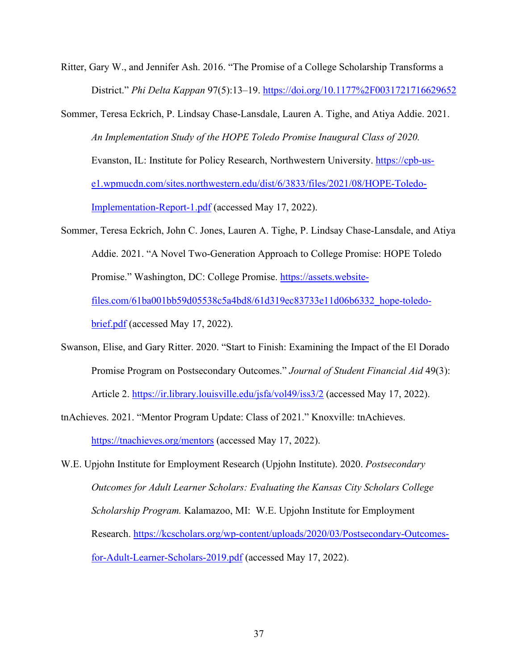- Ritter, Gary W., and Jennifer Ash. 2016. "The Promise of a College Scholarship Transforms a District." *Phi Delta Kappan* 97(5):13–19. [https://doi.org/10.1177%2F0031721716629652](https://journals.sagepub.com/doi/10.1177/0031721716629652)
- Sommer, Teresa Eckrich, P. Lindsay Chase-Lansdale, Lauren A. Tighe, and Atiya Addie. 2021. *An Implementation Study of the HOPE Toledo Promise Inaugural Class of 2020.*  Evanston, IL: Institute for Policy Research, Northwestern University. [https://cpb-us](https://cpb-us-e1.wpmucdn.com/sites.northwestern.edu/dist/6/3833/files/2021/08/HOPE-Toledo-Implementation-Report-1.pdf)[e1.wpmucdn.com/sites.northwestern.edu/dist/6/3833/files/2021/08/HOPE-Toledo-](https://cpb-us-e1.wpmucdn.com/sites.northwestern.edu/dist/6/3833/files/2021/08/HOPE-Toledo-Implementation-Report-1.pdf)[Implementation-Report-1.pdf](https://cpb-us-e1.wpmucdn.com/sites.northwestern.edu/dist/6/3833/files/2021/08/HOPE-Toledo-Implementation-Report-1.pdf) (accessed May 17, 2022).
- Sommer, Teresa Eckrich, John C. Jones, Lauren A. Tighe, P. Lindsay Chase-Lansdale, and Atiya Addie. 2021. "A Novel Two-Generation Approach to College Promise: HOPE Toledo Promise." Washington, DC: College Promise. [https://assets.website](https://assets.website-files.com/61ba001bb59d05538c5a4bd8/61d319ec83733e11d06b6332_hope-toledo-brief.pdf)[files.com/61ba001bb59d05538c5a4bd8/61d319ec83733e11d06b6332\\_hope-toledo](https://assets.website-files.com/61ba001bb59d05538c5a4bd8/61d319ec83733e11d06b6332_hope-toledo-brief.pdf)[brief.pdf](https://assets.website-files.com/61ba001bb59d05538c5a4bd8/61d319ec83733e11d06b6332_hope-toledo-brief.pdf) (accessed May 17, 2022).
- Swanson, Elise, and Gary Ritter. 2020. "Start to Finish: Examining the Impact of the El Dorado Promise Program on Postsecondary Outcomes." *Journal of Student Financial Aid* 49(3): Article 2.<https://ir.library.louisville.edu/jsfa/vol49/iss3/2>(accessed May 17, 2022).
- tnAchieves. 2021. "Mentor Program Update: Class of 2021." Knoxville: tnAchieves. <https://tnachieves.org/mentors>(accessed May 17, 2022).
- W.E. Upjohn Institute for Employment Research (Upjohn Institute). 2020. *Postsecondary Outcomes for Adult Learner Scholars: Evaluating the Kansas City Scholars College Scholarship Program.* Kalamazoo, MI: W.E. Upjohn Institute for Employment Research. [https://kcscholars.org/wp-content/uploads/2020/03/Postsecondary-Outcomes](https://kcscholars.org/wp-content/uploads/2020/03/Postsecondary-Outcomes-for-Adult-Learner-Scholars-2019.pdf)[for-Adult-Learner-Scholars-2019.pdf](https://kcscholars.org/wp-content/uploads/2020/03/Postsecondary-Outcomes-for-Adult-Learner-Scholars-2019.pdf) (accessed May 17, 2022).